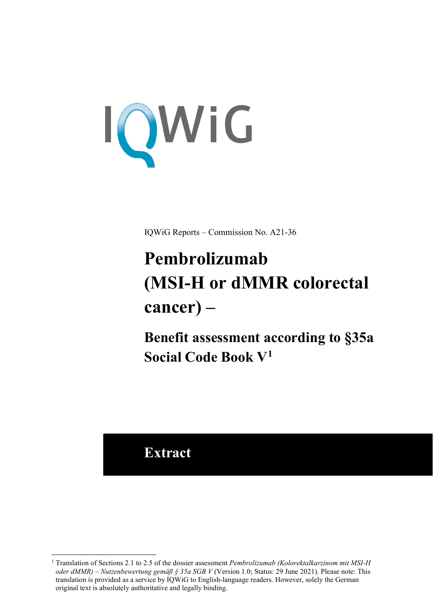<span id="page-0-3"></span>

IQWiG Reports – Commission No. A21-36

# <span id="page-0-2"></span><span id="page-0-1"></span>**Pembrolizumab (MSI-H or dMMR colorectal cancer) –**

**Benefit assessment according to §35a Social Code Book V[1](#page-0-0)**

# **Extract**

-

<span id="page-0-0"></span><sup>1</sup> Translation of Sections 2.1 to 2.5 of the dossier assessment *Pembrolizumab (Kolorektalkarzinom mit MSI-H oder dMMR) – Nutzenbewertung gemäß § 35a SGB V* (Version 1.0; Status: 29 June 2021). Please note: This translation is provided as a service by IQWiG to English-language readers. However, solely the German original text is absolutely authoritative and legally binding.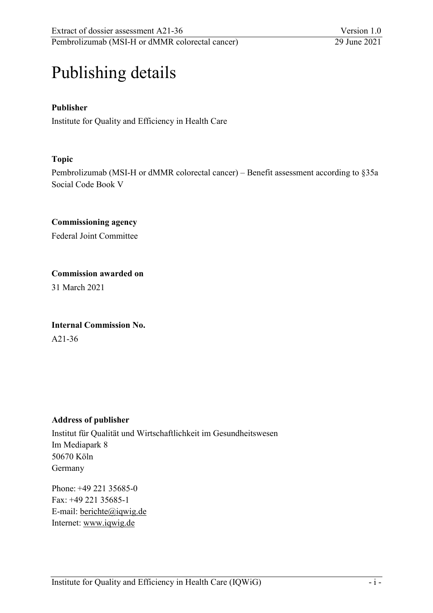# Publishing details

### **Publisher**

Institute for Quality and Efficiency in Health Care

#### **Topic**

Pembrolizumab (MSI-H or dMMR colorectal cancer) – Benefit assessment according to §35a Social Code Book V

# **Commissioning agency**

Federal Joint Committee

# **Commission awarded on**

31 March 2021

# **Internal Commission No.**  A21-36

#### **Address of publisher**

Institut für Qualität und Wirtschaftlichkeit im Gesundheitswesen Im Mediapark 8 50670 Köln Germany

Phone: +49 221 35685-0 Fax: +49 221 35685-1 E-mail: [berichte@iqwig.de](mailto:berichte@iqwig.de) Internet: [www.iqwig.de](http://www.iqwig.de/)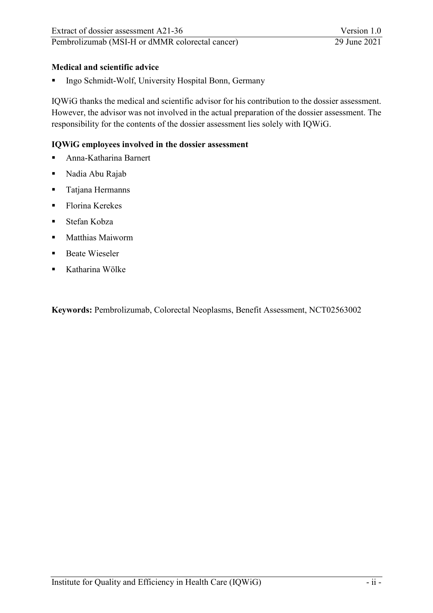Extract of dossier assessment A21-36 Version 1.0<br>
Pembrolizumab (MSI-H or dMMR colorectal cancer) 29 June 2021 Pembrolizumab (MSI-H or dMMR colorectal cancer)

#### **Medical and scientific advice**

**Ingo Schmidt-Wolf, University Hospital Bonn, Germany** 

IQWiG thanks the medical and scientific advisor for his contribution to the dossier assessment. However, the advisor was not involved in the actual preparation of the dossier assessment. The responsibility for the contents of the dossier assessment lies solely with IQWiG.

#### **IQWiG employees involved in the dossier assessment**

- Anna-Katharina Barnert
- Nadia Abu Rajab
- **Tatjana Hermanns**
- Florina Kerekes
- Stefan Kobza
- **Matthias Maiworm**
- **Beate Wieseler**
- Katharina Wölke

**Keywords:** Pembrolizumab, Colorectal Neoplasms, Benefit Assessment, NCT02563002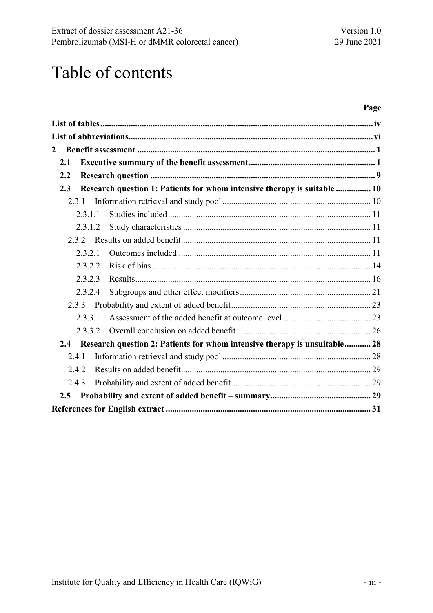Extract of dossier assessment A21-36 Version 1.0<br>
Pembrolizumab (MSI-H or dMMR colorectal cancer) 29 June 2021 Pembrolizumab (MSI-H or dMMR colorectal cancer)

# Table of contents

#### **Page**

| 2<br>2.1<br>2.2<br>Research question 1: Patients for whom intensive therapy is suitable  10<br>2.3<br>2.3.1<br>2.3.1.1<br>2.3.1.2<br>2.3.2<br>2.3.2.1<br>2.3.2.2<br>2.3.2.3<br>2.3.2.4<br>2.3.3<br>2.3.3.1<br>2.3.3.2<br>Research question 2: Patients for whom intensive therapy is unsuitable 28<br>2.4 |  |
|-----------------------------------------------------------------------------------------------------------------------------------------------------------------------------------------------------------------------------------------------------------------------------------------------------------|--|
|                                                                                                                                                                                                                                                                                                           |  |
|                                                                                                                                                                                                                                                                                                           |  |
|                                                                                                                                                                                                                                                                                                           |  |
|                                                                                                                                                                                                                                                                                                           |  |
|                                                                                                                                                                                                                                                                                                           |  |
|                                                                                                                                                                                                                                                                                                           |  |
|                                                                                                                                                                                                                                                                                                           |  |
|                                                                                                                                                                                                                                                                                                           |  |
|                                                                                                                                                                                                                                                                                                           |  |
|                                                                                                                                                                                                                                                                                                           |  |
|                                                                                                                                                                                                                                                                                                           |  |
|                                                                                                                                                                                                                                                                                                           |  |
|                                                                                                                                                                                                                                                                                                           |  |
|                                                                                                                                                                                                                                                                                                           |  |
|                                                                                                                                                                                                                                                                                                           |  |
|                                                                                                                                                                                                                                                                                                           |  |
|                                                                                                                                                                                                                                                                                                           |  |
| 2.4.1                                                                                                                                                                                                                                                                                                     |  |
| 2.4.2                                                                                                                                                                                                                                                                                                     |  |
| 2.4.3                                                                                                                                                                                                                                                                                                     |  |
| 2.5                                                                                                                                                                                                                                                                                                       |  |
|                                                                                                                                                                                                                                                                                                           |  |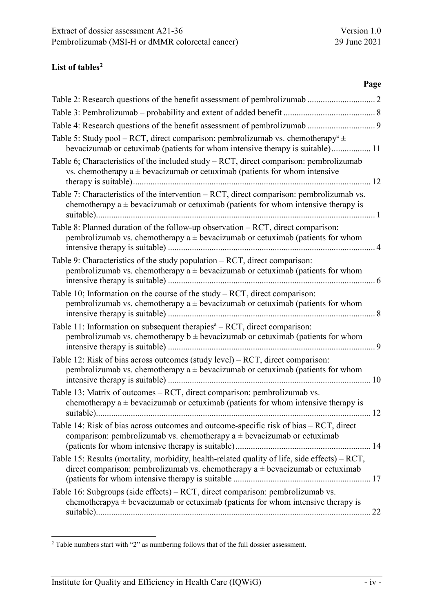# <span id="page-4-0"></span>**List of table[s2](#page-4-1)**

| Page                                                                                                                                                                                 |
|--------------------------------------------------------------------------------------------------------------------------------------------------------------------------------------|
|                                                                                                                                                                                      |
|                                                                                                                                                                                      |
|                                                                                                                                                                                      |
| Table 5: Study pool – RCT, direct comparison: pembrolizumab vs. chemotherapy <sup>a</sup> $\pm$<br>bevacizumab or cetuximab (patients for whom intensive therapy is suitable) 11     |
| Table 6; Characteristics of the included study $- RCT$ , direct comparison: pembrolizumab<br>vs. chemotherapy $a \pm b$ evacizumab or cetuximab (patients for whom intensive         |
| Table 7: Characteristics of the intervention – RCT, direct comparison: pembrolizumab vs.<br>chemotherapy $a \pm b$ evacizumab or cetuximab (patients for whom intensive therapy is   |
| Table 8: Planned duration of the follow-up observation - RCT, direct comparison:<br>pembrolizumab vs. chemotherapy $a \pm b$ evacizumab or cetuximab (patients for whom              |
| Table 9: Characteristics of the study population - RCT, direct comparison:<br>pembrolizumab vs. chemotherapy $a \pm b$ evacizumab or cetuximab (patients for whom                    |
| Table 10; Information on the course of the study $- RCT$ , direct comparison:<br>pembrolizumab vs. chemotherapy $a \pm b$ evacizumab or cetuximab (patients for whom                 |
| Table 11: Information on subsequent therapies $a - RCT$ , direct comparison:<br>pembrolizumab vs. chemotherapy $b \pm b$ evacizumab or cetuximab (patients for whom                  |
| Table 12: Risk of bias across outcomes (study level) – RCT, direct comparison:<br>pembrolizumab vs. chemotherapy $a \pm b$ evacizumab or cetuximab (patients for whom                |
| Table 13: Matrix of outcomes - RCT, direct comparison: pembrolizumab vs.<br>chemotherapy $a \pm b$ evacizumab or cetuximab (patients for whom intensive therapy is                   |
| Table 14: Risk of bias across outcomes and outcome-specific risk of bias - RCT, direct<br>comparison: pembrolizumab vs. chemotherapy $a \pm b$ evacizumab or cetuximab               |
| Table 15: Results (mortality, morbidity, health-related quality of life, side effects) - RCT,<br>direct comparison: pembrolizumab vs. chemotherapy $a \pm b$ evacizumab or cetuximab |
| Table 16: Subgroups (side effects) – RCT, direct comparison: pembrolizumab vs.<br>chemotherapya $\pm$ bevacizumab or cetuximab (patients for whom intensive therapy is               |

<span id="page-4-1"></span><sup>-</sup> $2$  Table numbers start with "2" as numbering follows that of the full dossier assessment.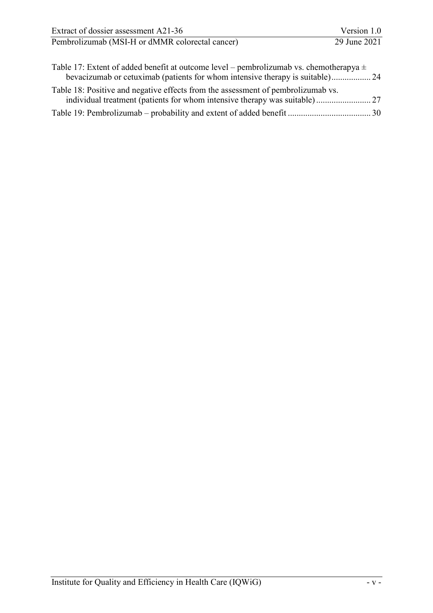| Extract of dossier assessment A21-36                                                       | Version 1.0  |
|--------------------------------------------------------------------------------------------|--------------|
| Pembrolizumab (MSI-H or dMMR colorectal cancer)                                            | 29 June 2021 |
| Table 17: Extent of added benefit at outcome level – pembrolizumab vs. chemotherapya $\pm$ |              |

| Table 18: Positive and negative effects from the assessment of pembrolizumab vs. |  |
|----------------------------------------------------------------------------------|--|
|                                                                                  |  |
|                                                                                  |  |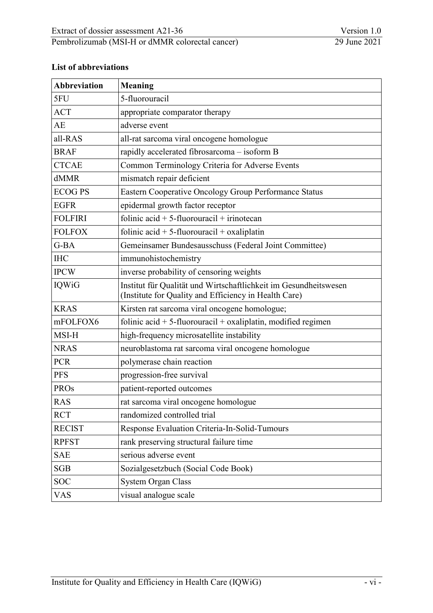#### <span id="page-6-0"></span>**List of abbreviations**

| <b>Abbreviation</b> | <b>Meaning</b>                                                                                                            |
|---------------------|---------------------------------------------------------------------------------------------------------------------------|
| 5FU                 | 5-fluorouracil                                                                                                            |
| <b>ACT</b>          | appropriate comparator therapy                                                                                            |
| AE                  | adverse event                                                                                                             |
| all-RAS             | all-rat sarcoma viral oncogene homologue                                                                                  |
| <b>BRAF</b>         | rapidly accelerated fibrosarcoma - isoform B                                                                              |
| <b>CTCAE</b>        | Common Terminology Criteria for Adverse Events                                                                            |
| dMMR                | mismatch repair deficient                                                                                                 |
| <b>ECOG PS</b>      | Eastern Cooperative Oncology Group Performance Status                                                                     |
| <b>EGFR</b>         | epidermal growth factor receptor                                                                                          |
| <b>FOLFIRI</b>      | folinic acid $+ 5$ -fluorouracil $+$ irinotecan                                                                           |
| <b>FOLFOX</b>       | folinic acid $+ 5$ -fluorouracil $+$ oxaliplatin                                                                          |
| $G$ -BA             | Gemeinsamer Bundesausschuss (Federal Joint Committee)                                                                     |
| <b>IHC</b>          | immunohistochemistry                                                                                                      |
| <b>IPCW</b>         | inverse probability of censoring weights                                                                                  |
| <b>IQWiG</b>        | Institut für Qualität und Wirtschaftlichkeit im Gesundheitswesen<br>(Institute for Quality and Efficiency in Health Care) |
| <b>KRAS</b>         | Kirsten rat sarcoma viral oncogene homologue;                                                                             |
| mFOLFOX6            | folinic acid $+5$ -fluorouracil $+$ oxaliplatin, modified regimen                                                         |
| MSI-H               | high-frequency microsatellite instability                                                                                 |
| <b>NRAS</b>         | neuroblastoma rat sarcoma viral oncogene homologue                                                                        |
| <b>PCR</b>          | polymerase chain reaction                                                                                                 |
| <b>PFS</b>          | progression-free survival                                                                                                 |
| <b>PROs</b>         | patient-reported outcomes                                                                                                 |
| <b>RAS</b>          | rat sarcoma viral oncogene homologue                                                                                      |
| <b>RCT</b>          | randomized controlled trial                                                                                               |
| <b>RECIST</b>       | Response Evaluation Criteria-In-Solid-Tumours                                                                             |
| <b>RPFST</b>        | rank preserving structural failure time                                                                                   |
| <b>SAE</b>          | serious adverse event                                                                                                     |
| <b>SGB</b>          | Sozialgesetzbuch (Social Code Book)                                                                                       |
| <b>SOC</b>          | System Organ Class                                                                                                        |
| <b>VAS</b>          | visual analogue scale                                                                                                     |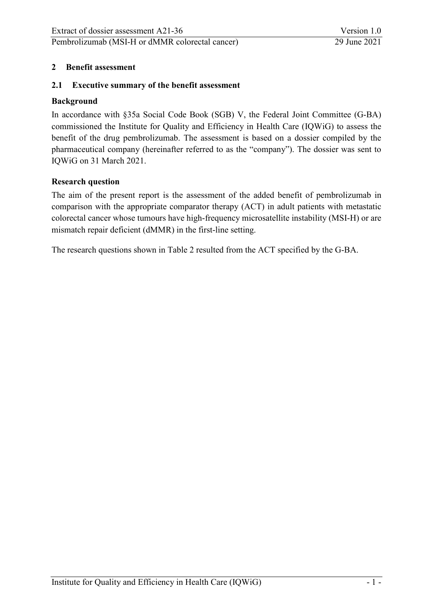#### <span id="page-7-0"></span>**2 Benefit assessment**

#### <span id="page-7-1"></span>**2.1 Executive summary of the benefit assessment**

#### **Background**

In accordance with §35a Social Code Book (SGB) V, the Federal Joint Committee (G-BA) commissioned the Institute for Quality and Efficiency in Health Care (IQWiG) to assess the benefit of the drug pembrolizumab. The assessment is based on a dossier compiled by the pharmaceutical company (hereinafter referred to as the "company"). The dossier was sent to IQWiG on 31 March 2021.

#### **Research question**

The aim of the present report is the assessment of the added benefit of pembrolizumab in comparison with the appropriate comparator therapy (ACT) in adult patients with metastatic colorectal cancer whose tumours have high-frequency microsatellite instability (MSI-H) or are mismatch repair deficient (dMMR) in the first-line setting.

The research questions shown in [Table 2](#page-8-1) resulted from the ACT specified by the G-BA.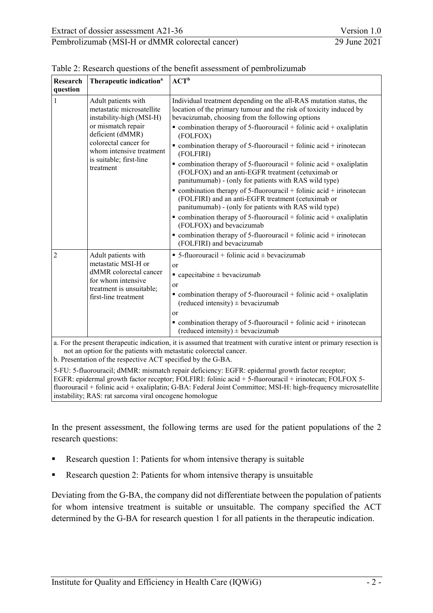| Research<br>question | Therapeutic indication <sup>a</sup>                                                                                                                                                                                 | ${ACT}^b$                                                                                                                                                                                                                                                                                                                                                                                                                                                                                                                                                                                                                                                                                                                                                                                                                                                                                                                                                                                                     |
|----------------------|---------------------------------------------------------------------------------------------------------------------------------------------------------------------------------------------------------------------|---------------------------------------------------------------------------------------------------------------------------------------------------------------------------------------------------------------------------------------------------------------------------------------------------------------------------------------------------------------------------------------------------------------------------------------------------------------------------------------------------------------------------------------------------------------------------------------------------------------------------------------------------------------------------------------------------------------------------------------------------------------------------------------------------------------------------------------------------------------------------------------------------------------------------------------------------------------------------------------------------------------|
| 1                    | Adult patients with<br>metastatic microsatellite<br>instability-high (MSI-H)<br>or mismatch repair<br>deficient (dMMR)<br>colorectal cancer for<br>whom intensive treatment<br>is suitable; first-line<br>treatment | Individual treatment depending on the all-RAS mutation status, the<br>location of the primary tumour and the risk of toxicity induced by<br>bevacizumab, choosing from the following options<br>$\bullet$ combination therapy of 5-fluorouracil + folinic acid + oxaliplatin<br>(FOLFOX)<br>$\blacksquare$ combination therapy of 5-fluorouracil + folinic acid + irinotecan<br>(FOLFIRI)<br>$\bullet$ combination therapy of 5-fluorouracil + folinic acid + oxaliplatin<br>(FOLFOX) and an anti-EGFR treatment (cetuximab or<br>panitumumab) - (only for patients with RAS wild type)<br>$\bullet$ combination therapy of 5-fluorouracil + folinic acid + irinotecan<br>(FOLFIRI) and an anti-EGFR treatment (cetuximab or<br>panitumumab) - (only for patients with RAS wild type)<br>$\bullet$ combination therapy of 5-fluorouracil + folinic acid + oxaliplatin<br>(FOLFOX) and bevacizumab<br>$\bullet$ combination therapy of 5-fluorouracil + folinic acid + irinotecan<br>(FOLFIRI) and bevacizumab |
| $\overline{2}$       | Adult patients with<br>metastatic MSI-H or<br>dMMR colorectal cancer<br>for whom intensive<br>treatment is unsuitable;<br>first-line treatment                                                                      | • 5-fluorouracil + folinic acid $\pm$ bevacizumab<br><sub>or</sub><br>$\blacksquare$ capecitabine $\pm$ bevacizumab<br><sub>or</sub><br>• combination therapy of 5-fluorouracil + folinic acid + oxaliplatin<br>(reduced intensity) $\pm$ bevacizumab<br><b>or</b><br>• combination therapy of 5-fluorouracil + folinic acid + irinotecan<br>(reduced intensity) $\pm$ bevacizumab<br>a For the present therapeutic indication it is assumed that treatment with curative intent or primary resection is                                                                                                                                                                                                                                                                                                                                                                                                                                                                                                      |

<span id="page-8-1"></span><span id="page-8-0"></span>Table 2: Research questions of the benefit assessment of pembrolizumab

sent the rapeutic indication, it is assumed that treatment with curative intent or primary resection is not an option for the patients with metastatic colorectal cancer.

b. Presentation of the respective ACT specified by the G-BA.

5-FU: 5-fluorouracil; dMMR: mismatch repair deficiency: EGFR: epidermal growth factor receptor; EGFR: epidermal growth factor receptor; FOLFIRI: folinic acid + 5-fluorouracil + irinotecan; FOLFOX 5 fluorouracil + folinic acid + oxaliplatin; G-BA: Federal Joint Committee; MSI-H: high-frequency microsatellite instability; RAS: rat sarcoma viral oncogene homologue

In the present assessment, the following terms are used for the patient populations of the 2 research questions:

- Research question 1: Patients for whom intensive therapy is suitable
- Research question 2: Patients for whom intensive therapy is unsuitable

Deviating from the G-BA, the company did not differentiate between the population of patients for whom intensive treatment is suitable or unsuitable. The company specified the ACT determined by the G-BA for research question 1 for all patients in the therapeutic indication.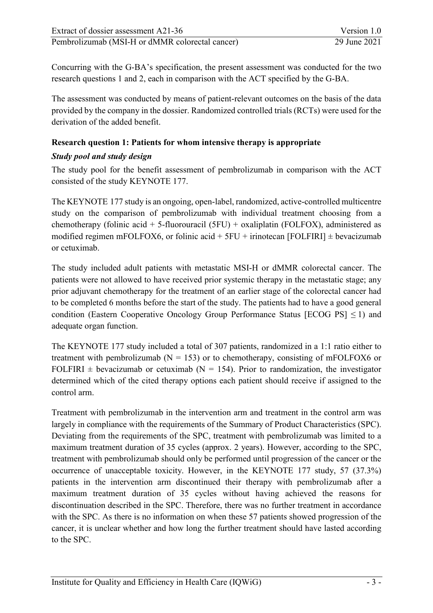Concurring with the G-BA's specification, the present assessment was conducted for the two research questions 1 and 2, each in comparison with the ACT specified by the G-BA.

The assessment was conducted by means of patient-relevant outcomes on the basis of the data provided by the company in the dossier. Randomized controlled trials (RCTs) were used for the derivation of the added benefit.

### **Research question 1: Patients for whom intensive therapy is appropriate**

# *Study pool and study design*

The study pool for the benefit assessment of pembrolizumab in comparison with the ACT consisted of the study KEYNOTE 177.

The KEYNOTE 177 study is an ongoing, open-label, randomized, active-controlled multicentre study on the comparison of pembrolizumab with individual treatment choosing from a chemotherapy (folinic acid + 5-fluorouracil (5FU) + oxaliplatin (FOLFOX), administered as modified regimen mFOLFOX6, or folinic acid  $+$  5FU + irinotecan [FOLFIRI]  $\pm$  bevacizumab or cetuximab.

The study included adult patients with metastatic MSI-H or dMMR colorectal cancer. The patients were not allowed to have received prior systemic therapy in the metastatic stage; any prior adjuvant chemotherapy for the treatment of an earlier stage of the colorectal cancer had to be completed 6 months before the start of the study. The patients had to have a good general condition (Eastern Cooperative Oncology Group Performance Status [ECOG PS]  $\leq$  1) and adequate organ function.

The KEYNOTE 177 study included a total of 307 patients, randomized in a 1:1 ratio either to treatment with pembrolizumab ( $N = 153$ ) or to chemotherapy, consisting of mFOLFOX6 or FOLFIRI  $\pm$  bevacizumab or cetuximab (N = 154). Prior to randomization, the investigator determined which of the cited therapy options each patient should receive if assigned to the control arm.

Treatment with pembrolizumab in the intervention arm and treatment in the control arm was largely in compliance with the requirements of the Summary of Product Characteristics (SPC). Deviating from the requirements of the SPC, treatment with pembrolizumab was limited to a maximum treatment duration of 35 cycles (approx. 2 years). However, according to the SPC, treatment with pembrolizumab should only be performed until progression of the cancer or the occurrence of unacceptable toxicity. However, in the KEYNOTE 177 study, 57 (37.3%) patients in the intervention arm discontinued their therapy with pembrolizumab after a maximum treatment duration of 35 cycles without having achieved the reasons for discontinuation described in the SPC. Therefore, there was no further treatment in accordance with the SPC. As there is no information on when these 57 patients showed progression of the cancer, it is unclear whether and how long the further treatment should have lasted according to the SPC.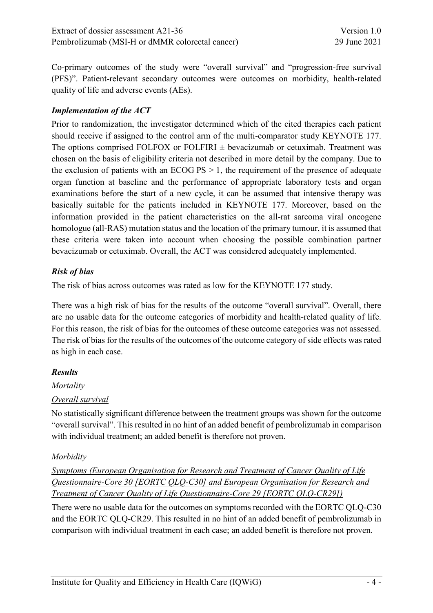Co-primary outcomes of the study were "overall survival" and "progression-free survival (PFS)". Patient-relevant secondary outcomes were outcomes on morbidity, health-related quality of life and adverse events (AEs).

### *Implementation of the ACT*

Prior to randomization, the investigator determined which of the cited therapies each patient should receive if assigned to the control arm of the multi-comparator study KEYNOTE 177. The options comprised FOLFOX or FOLFIRI  $\pm$  bevacizumab or cetuximab. Treatment was chosen on the basis of eligibility criteria not described in more detail by the company. Due to the exclusion of patients with an ECOG  $PS > 1$ , the requirement of the presence of adequate organ function at baseline and the performance of appropriate laboratory tests and organ examinations before the start of a new cycle, it can be assumed that intensive therapy was basically suitable for the patients included in KEYNOTE 177. Moreover, based on the information provided in the patient characteristics on the all-rat sarcoma viral oncogene homologue (all-RAS) mutation status and the location of the primary tumour, it is assumed that these criteria were taken into account when choosing the possible combination partner bevacizumab or cetuximab. Overall, the ACT was considered adequately implemented.

# *Risk of bias*

The risk of bias across outcomes was rated as low for the KEYNOTE 177 study.

There was a high risk of bias for the results of the outcome "overall survival". Overall, there are no usable data for the outcome categories of morbidity and health-related quality of life. For this reason, the risk of bias for the outcomes of these outcome categories was not assessed. The risk of bias for the results of the outcomes of the outcome category of side effects was rated as high in each case.

# *Results*

*Mortality*

# *Overall survival*

No statistically significant difference between the treatment groups was shown for the outcome "overall survival". This resulted in no hint of an added benefit of pembrolizumab in comparison with individual treatment; an added benefit is therefore not proven.

# *Morbidity*

*Symptoms (European Organisation for Research and Treatment of Cancer Quality of Life Questionnaire-Core 30 [EORTC QLQ-C30] and European Organisation for Research and Treatment of Cancer Quality of Life Questionnaire-Core 29 [EORTC QLQ-CR29])* 

There were no usable data for the outcomes on symptoms recorded with the EORTC QLQ-C30 and the EORTC QLQ-CR29. This resulted in no hint of an added benefit of pembrolizumab in comparison with individual treatment in each case; an added benefit is therefore not proven.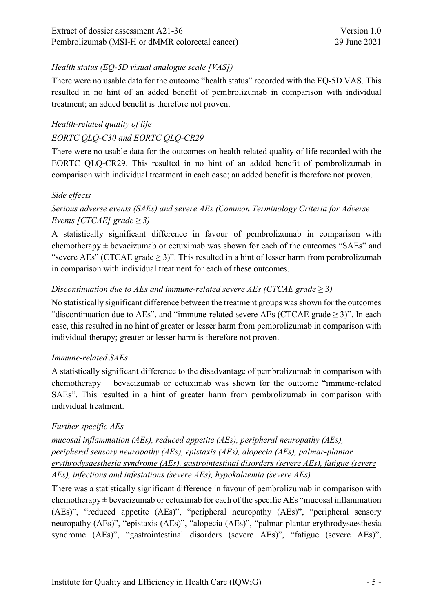# *Health status (EQ-5D visual analogue scale [VAS])*

There were no usable data for the outcome "health status" recorded with the EQ-5D VAS. This resulted in no hint of an added benefit of pembrolizumab in comparison with individual treatment; an added benefit is therefore not proven.

# *Health-related quality of life*

### *EORTC QLQ-C30 and EORTC QLQ-CR29*

There were no usable data for the outcomes on health-related quality of life recorded with the EORTC QLQ-CR29. This resulted in no hint of an added benefit of pembrolizumab in comparison with individual treatment in each case; an added benefit is therefore not proven.

#### *Side effects*

# *Serious adverse events (SAEs) and severe AEs (Common Terminology Criteria for Adverse Events [CTCAE]*  $\text{grade} \geq 3$ )

A statistically significant difference in favour of pembrolizumab in comparison with chemotherapy  $\pm$  bevacizumab or cetuximab was shown for each of the outcomes "SAEs" and "severe AEs" (CTCAE grade  $\geq$  3)". This resulted in a hint of lesser harm from pembrolizumab in comparison with individual treatment for each of these outcomes.

#### *Discontinuation due to AEs and immune-related severe AEs (CTCAE grade*  $\geq$  *3)*

No statistically significant difference between the treatment groups was shown for the outcomes "discontinuation due to AEs", and "immune-related severe AEs (CTCAE grade  $\geq$  3)". In each case, this resulted in no hint of greater or lesser harm from pembrolizumab in comparison with individual therapy; greater or lesser harm is therefore not proven.

#### *Immune-related SAEs*

A statistically significant difference to the disadvantage of pembrolizumab in comparison with chemotherapy  $\pm$  bevacizumab or cetuximab was shown for the outcome "immune-related" SAEs". This resulted in a hint of greater harm from pembrolizumab in comparison with individual treatment.

#### *Further specific AEs*

*mucosal inflammation (AEs), reduced appetite (AEs), peripheral neuropathy (AEs), peripheral sensory neuropathy (AEs), epistaxis (AEs), alopecia (AEs), palmar-plantar erythrodysaesthesia syndrome (AEs), gastrointestinal disorders (severe AEs), fatigue (severe AEs), infections and infestations (severe AEs), hypokalaemia (severe AEs)* 

There was a statistically significant difference in favour of pembrolizumab in comparison with chemotherapy  $\pm$  bevacizumab or cetuximab for each of the specific AEs "mucosal inflammation (AEs)", "reduced appetite (AEs)", "peripheral neuropathy (AEs)", "peripheral sensory neuropathy (AEs)", "epistaxis (AEs)", "alopecia (AEs)", "palmar-plantar erythrodysaesthesia syndrome (AEs)", "gastrointestinal disorders (severe AEs)", "fatigue (severe AEs)",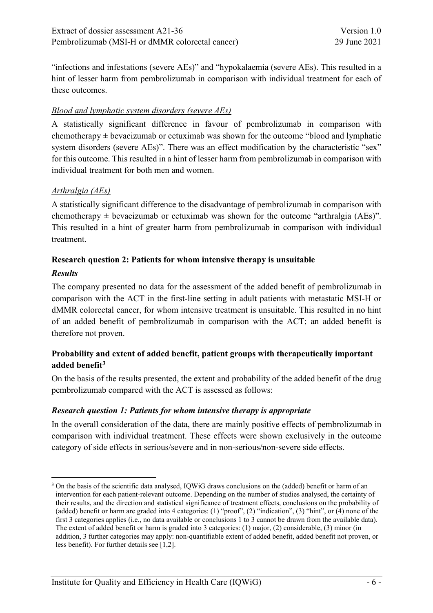"infections and infestations (severe AEs)" and "hypokalaemia (severe AEs). This resulted in a hint of lesser harm from pembrolizumab in comparison with individual treatment for each of these outcomes.

### *Blood and lymphatic system disorders (severe AEs)*

A statistically significant difference in favour of pembrolizumab in comparison with chemotherapy  $\pm$  bevacizumab or cetuximab was shown for the outcome "blood and lymphatic system disorders (severe AEs)". There was an effect modification by the characteristic "sex" for this outcome. This resulted in a hint of lesser harm from pembrolizumab in comparison with individual treatment for both men and women.

#### *Arthralgia (AEs)*

A statistically significant difference to the disadvantage of pembrolizumab in comparison with chemotherapy  $\pm$  bevacizumab or cetuximab was shown for the outcome "arthralgia (AEs)". This resulted in a hint of greater harm from pembrolizumab in comparison with individual treatment.

# **Research question 2: Patients for whom intensive therapy is unsuitable**

#### *Results*

The company presented no data for the assessment of the added benefit of pembrolizumab in comparison with the ACT in the first-line setting in adult patients with metastatic MSI-H or dMMR colorectal cancer, for whom intensive treatment is unsuitable. This resulted in no hint of an added benefit of pembrolizumab in comparison with the ACT; an added benefit is therefore not proven.

# **Probability and extent of added benefit, patient groups with therapeutically important added benefit[3](#page-12-0)**

On the basis of the results presented, the extent and probability of the added benefit of the drug pembrolizumab compared with the ACT is assessed as follows:

#### *Research question 1: Patients for whom intensive therapy is appropriate*

In the overall consideration of the data, there are mainly positive effects of pembrolizumab in comparison with individual treatment. These effects were shown exclusively in the outcome category of side effects in serious/severe and in non-serious/non-severe side effects.

<span id="page-12-0"></span><sup>-</sup><sup>3</sup> On the basis of the scientific data analysed, IOWiG draws conclusions on the (added) benefit or harm of an intervention for each patient-relevant outcome. Depending on the number of studies analysed, the certainty of their results, and the direction and statistical significance of treatment effects, conclusions on the probability of (added) benefit or harm are graded into 4 categories: (1) "proof", (2) "indication", (3) "hint", or (4) none of the first 3 categories applies (i.e., no data available or conclusions 1 to 3 cannot be drawn from the available data). The extent of added benefit or harm is graded into 3 categories: (1) major, (2) considerable, (3) minor (in addition, 3 further categories may apply: non-quantifiable extent of added benefit, added benefit not proven, or less benefit). For further details see [\[1,](#page-49-1)[2\]](#page-49-2).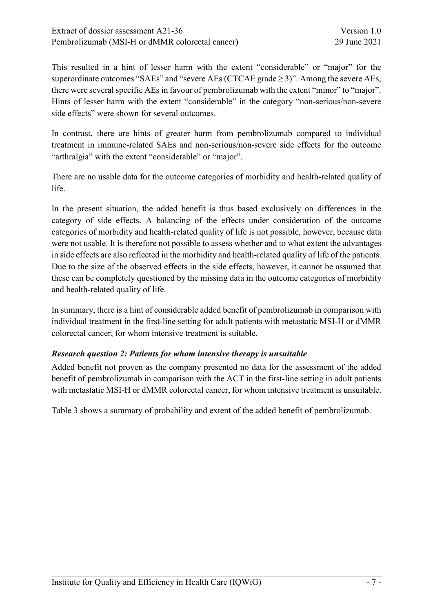This resulted in a hint of lesser harm with the extent "considerable" or "major" for the superordinate outcomes "SAEs" and "severe AEs (CTCAE grade  $\geq$  3)". Among the severe AEs, there were several specific AEs in favour of pembrolizumab with the extent "minor" to "major". Hints of lesser harm with the extent "considerable" in the category "non-serious/non-severe side effects" were shown for several outcomes.

In contrast, there are hints of greater harm from pembrolizumab compared to individual treatment in immune-related SAEs and non-serious/non-severe side effects for the outcome "arthralgia" with the extent "considerable" or "major".

There are no usable data for the outcome categories of morbidity and health-related quality of life.

In the present situation, the added benefit is thus based exclusively on differences in the category of side effects. A balancing of the effects under consideration of the outcome categories of morbidity and health-related quality of life is not possible, however, because data were not usable. It is therefore not possible to assess whether and to what extent the advantages in side effects are also reflected in the morbidity and health-related quality of life of the patients. Due to the size of the observed effects in the side effects, however, it cannot be assumed that these can be completely questioned by the missing data in the outcome categories of morbidity and health-related quality of life.

In summary, there is a hint of considerable added benefit of pembrolizumab in comparison with individual treatment in the first-line setting for adult patients with metastatic MSI-H or dMMR colorectal cancer, for whom intensive treatment is suitable.

#### *Research question 2: Patients for whom intensive therapy is unsuitable*

Added benefit not proven as the company presented no data for the assessment of the added benefit of pembrolizumab in comparison with the ACT in the first-line setting in adult patients with metastatic MSI-H or dMMR colorectal cancer, for whom intensive treatment is unsuitable.

[Table 3](#page-14-1) shows a summary of probability and extent of the added benefit of pembrolizumab.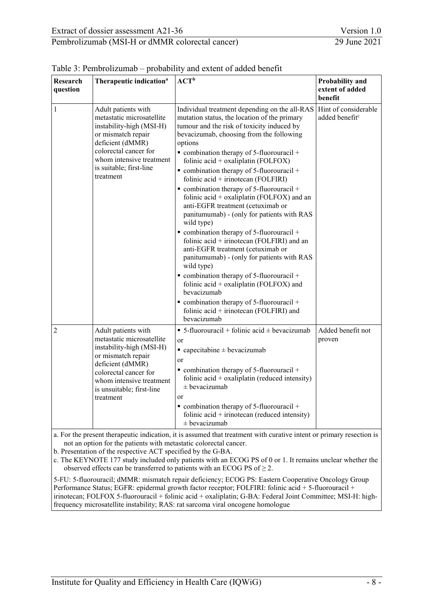| Research<br>question | Therapeutic indication <sup>a</sup>                                                                                                                                                                                   | ${ACT}^b$                                                                                                                                                                                                                                                                                                                                                                                                                                                                                                                                                                                                                                                                                                                                                                                                                                                                                                                                                                                                                        | Probability and<br>extent of added<br>benefit      |
|----------------------|-----------------------------------------------------------------------------------------------------------------------------------------------------------------------------------------------------------------------|----------------------------------------------------------------------------------------------------------------------------------------------------------------------------------------------------------------------------------------------------------------------------------------------------------------------------------------------------------------------------------------------------------------------------------------------------------------------------------------------------------------------------------------------------------------------------------------------------------------------------------------------------------------------------------------------------------------------------------------------------------------------------------------------------------------------------------------------------------------------------------------------------------------------------------------------------------------------------------------------------------------------------------|----------------------------------------------------|
| $\mathbf{1}$         | Adult patients with<br>metastatic microsatellite<br>instability-high (MSI-H)<br>or mismatch repair<br>deficient (dMMR)<br>colorectal cancer for<br>whom intensive treatment<br>is suitable; first-line<br>treatment   | Individual treatment depending on the all-RAS<br>mutation status, the location of the primary<br>tumour and the risk of toxicity induced by<br>bevacizumab, choosing from the following<br>options<br>$\bullet$ combination therapy of 5-fluorouracil +<br>folinic acid + oxaliplatin (FOLFOX)<br>$\bullet$ combination therapy of 5-fluorouracil +<br>folinic acid + irinotecan (FOLFIRI)<br>$\bullet$ combination therapy of 5-fluorouracil +<br>folinic acid + oxaliplatin (FOLFOX) and an<br>anti-EGFR treatment (cetuximab or<br>panitumumab) - (only for patients with RAS<br>wild type)<br>$\bullet$ combination therapy of 5-fluorouracil +<br>folinic acid + irinotecan (FOLFIRI) and an<br>anti-EGFR treatment (cetuximab or<br>panitumumab) - (only for patients with RAS<br>wild type)<br>$\bullet$ combination therapy of 5-fluorouracil +<br>folinic acid + oxaliplatin (FOLFOX) and<br>bevacizumab<br>$\bullet$ combination therapy of 5-fluorouracil +<br>folinic acid + irinotecan (FOLFIRI) and<br>bevacizumab | Hint of considerable<br>added benefit <sup>c</sup> |
| $\overline{2}$       | Adult patients with<br>metastatic microsatellite<br>instability-high (MSI-H)<br>or mismatch repair<br>deficient (dMMR)<br>colorectal cancer for<br>whom intensive treatment<br>is unsuitable; first-line<br>treatment | ■ 5-fluorouracil + folinic acid $\pm$ bevacizumab<br>or<br>$\blacksquare$ capecitabine $\pm$ bevacizumab<br>or<br>$\bullet$ combination therapy of 5-fluorouracil +<br>folinic $\text{acid} + \text{oxaliplation}$ (reduced intensity)<br>$±$ bevacizumab<br><b>or</b><br>$\bullet$ combination therapy of 5-fluorouracil +<br>folinic $\text{acid} + \text{irinoteca}$ (reduced intensity)<br>$\pm$ bevacizumab                                                                                                                                                                                                                                                                                                                                                                                                                                                                                                                                                                                                                 | Added benefit not<br>proven                        |

<span id="page-14-1"></span><span id="page-14-0"></span>

a. For the present therapeutic indication, it is assumed that treatment with curative intent or primary resection is not an option for the patients with metastatic colorectal cancer.

b. Presentation of the respective ACT specified by the G-BA.

c. The KEYNOTE 177 study included only patients with an ECOG PS of 0 or 1. It remains unclear whether the observed effects can be transferred to patients with an ECOG PS of  $\geq$  2.

5-FU: 5-fluorouracil; dMMR: mismatch repair deficiency; ECOG PS: Eastern Cooperative Oncology Group Performance Status; EGFR: epidermal growth factor receptor; FOLFIRI: folinic acid + 5-fluorouracil + irinotecan; FOLFOX 5-fluorouracil + folinic acid + oxaliplatin; G-BA: Federal Joint Committee; MSI-H: highfrequency microsatellite instability; RAS: rat sarcoma viral oncogene homologue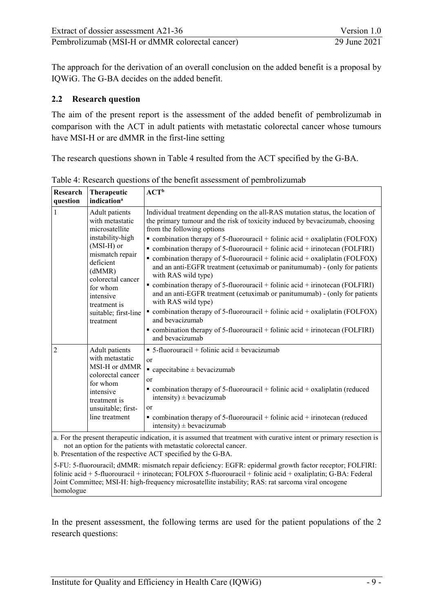The approach for the derivation of an overall conclusion on the added benefit is a proposal by IQWiG. The G-BA decides on the added benefit.

#### <span id="page-15-0"></span>**2.2 Research question**

The aim of the present report is the assessment of the added benefit of pembrolizumab in comparison with the ACT in adult patients with metastatic colorectal cancer whose tumours have MSI-H or are dMMR in the first-line setting

The research questions shown in [Table 4](#page-15-2) resulted from the ACT specified by the G-BA.

| <b>Research</b><br>question | <b>Therapeutic</b><br>indication <sup>a</sup>                                                                                                                                                                                      | ${ACT}^b$                                                                                                                                                                                                                                                                                                                                                                                                                                                                                                                                                                                                                                                                                                                                                                                                                                                                                                                                          |
|-----------------------------|------------------------------------------------------------------------------------------------------------------------------------------------------------------------------------------------------------------------------------|----------------------------------------------------------------------------------------------------------------------------------------------------------------------------------------------------------------------------------------------------------------------------------------------------------------------------------------------------------------------------------------------------------------------------------------------------------------------------------------------------------------------------------------------------------------------------------------------------------------------------------------------------------------------------------------------------------------------------------------------------------------------------------------------------------------------------------------------------------------------------------------------------------------------------------------------------|
| 1                           | Adult patients<br>with metastatic<br>microsatellite<br>instability-high<br>(MSI-H) or<br>mismatch repair<br>deficient<br>(dMMR)<br>colorectal cancer<br>for whom<br>intensive<br>treatment is<br>suitable; first-line<br>treatment | Individual treatment depending on the all-RAS mutation status, the location of<br>the primary tumour and the risk of toxicity induced by bevacizumab, choosing<br>from the following options<br>• combination therapy of 5-fluorouracil + folinic acid + oxaliplatin (FOLFOX)<br>• combination therapy of 5-fluorouracil + folinic acid + irinotecan (FOLFIRI)<br>• combination therapy of 5-fluorouracil + folinic acid + oxaliplatin (FOLFOX)<br>and an anti-EGFR treatment (cetuximab or panitumumab) - (only for patients<br>with RAS wild type)<br>• combination therapy of 5-fluorouracil + folinic acid + irinotecan (FOLFIRI)<br>and an anti-EGFR treatment (cetuximab or panitumumab) - (only for patients<br>with RAS wild type)<br>• combination therapy of 5-fluorouracil + folinic acid + oxaliplatin (FOLFOX)<br>and bevacizumab<br>• combination therapy of 5-fluorouracil + folinic acid + irinotecan (FOLFIRI)<br>and bevacizumab |
| 2                           | Adult patients<br>with metastatic<br>MSI-H or dMMR<br>colorectal cancer<br>for whom<br>intensive<br>treatment is<br>unsuitable; first-<br>line treatment                                                                           | $\bullet$ 5-fluorouracil + folinic acid $\pm$ bevacizumab<br><b>or</b><br>$\blacksquare$ capecitabine $\pm$ bevacizumab<br>or<br>$\bullet$ combination therapy of 5-fluorouracil + folinic acid + oxaliplatin (reduced<br>intensity) $\pm$ bevacizumab<br>or<br>$\bullet$ combination therapy of 5-fluorouracil + folinic acid + irinotecan (reduced<br>intensity) $\pm$ bevacizumab                                                                                                                                                                                                                                                                                                                                                                                                                                                                                                                                                               |

<span id="page-15-2"></span><span id="page-15-1"></span>Table 4: Research questions of the benefit assessment of pembrolizumab

a. For the present therapeutic indication, it is assumed that treatment with curative intent or primary resection is not an option for the patients with metastatic colorectal cancer.

b. Presentation of the respective ACT specified by the G-BA.

5-FU: 5-fluorouracil; dMMR: mismatch repair deficiency: EGFR: epidermal growth factor receptor; FOLFIRI: folinic acid + 5-fluorouracil + irinotecan; FOLFOX 5-fluorouracil + folinic acid + oxaliplatin; G-BA: Federal Joint Committee; MSI-H: high-frequency microsatellite instability; RAS: rat sarcoma viral oncogene homologue

In the present assessment, the following terms are used for the patient populations of the 2 research questions: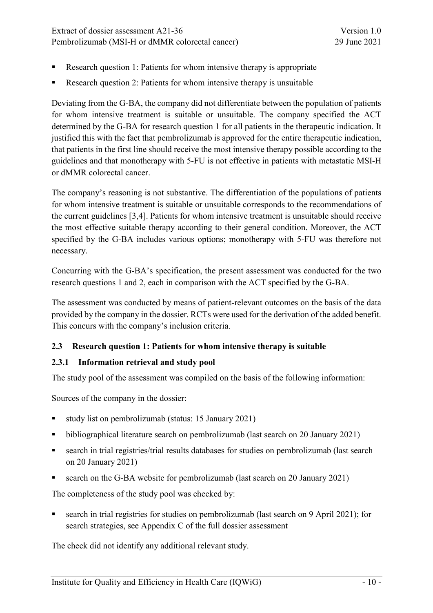Pembrolizumab [\(MSI-H or dMMR colorectal cancer\)](#page-0-2) 29 June 2021

- Research question 1: Patients for whom intensive therapy is appropriate
- Research question 2: Patients for whom intensive therapy is unsuitable

Deviating from the G-BA, the company did not differentiate between the population of patients for whom intensive treatment is suitable or unsuitable. The company specified the ACT determined by the G-BA for research question 1 for all patients in the therapeutic indication. It justified this with the fact that pembrolizumab is approved for the entire therapeutic indication, that patients in the first line should receive the most intensive therapy possible according to the guidelines and that monotherapy with 5-FU is not effective in patients with metastatic MSI-H or dMMR colorectal cancer.

The company's reasoning is not substantive. The differentiation of the populations of patients for whom intensive treatment is suitable or unsuitable corresponds to the recommendations of the current guidelines [\[3](#page-49-3)[,4\]](#page-49-4). Patients for whom intensive treatment is unsuitable should receive the most effective suitable therapy according to their general condition. Moreover, the ACT specified by the G-BA includes various options; monotherapy with 5-FU was therefore not necessary.

Concurring with the G-BA's specification, the present assessment was conducted for the two research questions 1 and 2, each in comparison with the ACT specified by the G-BA.

The assessment was conducted by means of patient-relevant outcomes on the basis of the data provided by the company in the dossier. RCTs were used for the derivation of the added benefit. This concurs with the company's inclusion criteria.

#### <span id="page-16-0"></span>**2.3 Research question 1: Patients for whom intensive therapy is suitable**

#### <span id="page-16-1"></span>**2.3.1 Information retrieval and study pool**

The study pool of the assessment was compiled on the basis of the following information:

Sources of the company in the dossier:

- study list on pembrolizumab (status: 15 January 2021)
- bibliographical literature search on pembrolizumab (last search on 20 January 2021)
- search in trial registries/trial results databases for studies on pembrolizumab (last search on 20 January 2021)
- search on the G-BA website for pembrolizumab (last search on 20 January 2021)

The completeness of the study pool was checked by:

 search in trial registries for studies on pembrolizumab (last search on 9 April 2021); for search strategies, see Appendix C of the full dossier assessment

The check did not identify any additional relevant study.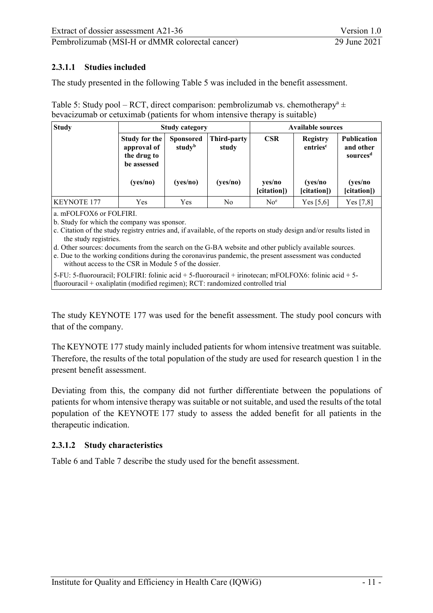#### <span id="page-17-0"></span>**2.3.1.1 Studies included**

The study presented in the following [Table 5](#page-17-3) was included in the benefit assessment.

<span id="page-17-3"></span><span id="page-17-2"></span>Table 5: Study pool – RCT, direct comparison: pembrolizumab vs. chemotherapy<sup>a</sup>  $\pm$ bevacizumab or cetuximab (patients for whom intensive therapy is suitable)

| <b>Study</b>       | <b>Study category</b>                                      |                                        |                      | <b>Available sources</b> |                                  |                                                         |
|--------------------|------------------------------------------------------------|----------------------------------------|----------------------|--------------------------|----------------------------------|---------------------------------------------------------|
|                    | Study for the<br>approval of<br>the drug to<br>be assessed | <b>Sponsored</b><br>study <sup>b</sup> | Third-party<br>study | <b>CSR</b>               | Registry<br>entries <sup>c</sup> | <b>Publication</b><br>and other<br>sources <sup>d</sup> |
|                    | (yes/no)                                                   | (yes/no)                               | (yes/no)             | yes/no<br>[citation])    | (yes/no<br>[citation])           | (yes/no<br>[citation])                                  |
| <b>KEYNOTE 177</b> | Yes                                                        | Yes                                    | No                   | No <sup>e</sup>          | Yes $[5,6]$                      | Yes [7,8]                                               |

a. mFOLFOX6 or FOLFIRI.

b. Study for which the company was sponsor.

c. Citation of the study registry entries and, if available, of the reports on study design and/or results listed in the study registries.

d. Other sources: documents from the search on the G-BA website and other publicly available sources.

e. Due to the working conditions during the coronavirus pandemic, the present assessment was conducted without access to the CSR in Module 5 of the dossier.

5-FU: 5-fluorouracil; FOLFIRI: folinic acid + 5-fluorouracil + irinotecan; mFOLFOX6: folinic acid + 5 fluorouracil + oxaliplatin (modified regimen); RCT: randomized controlled trial

The study KEYNOTE 177 was used for the benefit assessment. The study pool concurs with that of the company.

The KEYNOTE 177 study mainly included patients for whom intensive treatment was suitable. Therefore, the results of the total population of the study are used for research question 1 in the present benefit assessment.

Deviating from this, the company did not further differentiate between the populations of patients for whom intensive therapy was suitable or not suitable, and used the results of the total population of the KEYNOTE 177 study to assess the added benefit for all patients in the therapeutic indication.

#### <span id="page-17-1"></span>**2.3.1.2 Study characteristics**

[Table 6](#page-18-1) and [Table 7](#page-19-1) describe the study used for the benefit assessment.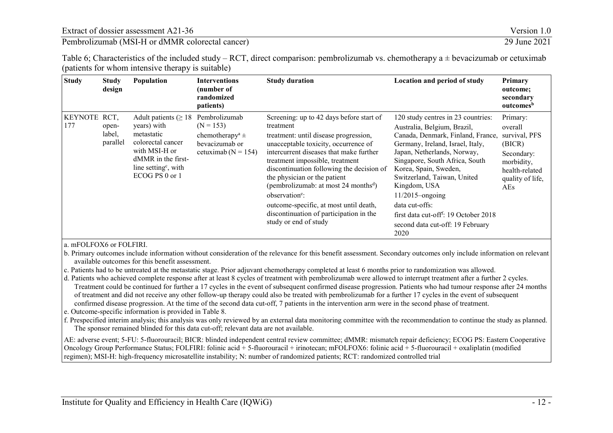Pembrolizumab [\(MSI-H or dMMR colorectal cancer\)](#page-0-3) 29 June 2021

| Table 6; Characteristics of the included study – RCT, direct comparison: pembrolizumab vs. chemotherapy a $\pm$ bevacizumab or cetuximab |  |
|------------------------------------------------------------------------------------------------------------------------------------------|--|
| (patients for whom intensive therapy is suitable)                                                                                        |  |

| <b>Study</b>          | <b>Study</b><br>design              | <b>Population</b>                                                                                                                                                           | <b>Interventions</b><br>(number of<br>randomized<br>patients)                                                | <b>Study duration</b>                                                                                                                                                                                                                                                                                                                                                                                                                                                                             | <b>Location and period of study</b>                                                                                                                                                                                                                                                                                                                                                                                          | Primary<br>outcome;<br>secondary<br>outcomes <sup>b</sup>                                                               |
|-----------------------|-------------------------------------|-----------------------------------------------------------------------------------------------------------------------------------------------------------------------------|--------------------------------------------------------------------------------------------------------------|---------------------------------------------------------------------------------------------------------------------------------------------------------------------------------------------------------------------------------------------------------------------------------------------------------------------------------------------------------------------------------------------------------------------------------------------------------------------------------------------------|------------------------------------------------------------------------------------------------------------------------------------------------------------------------------------------------------------------------------------------------------------------------------------------------------------------------------------------------------------------------------------------------------------------------------|-------------------------------------------------------------------------------------------------------------------------|
| <b>KEYNOTE</b><br>177 | RCT,<br>open-<br>label,<br>parallel | Adult patients ( $\geq 18$ )<br>years) with<br>metastatic<br>colorectal cancer<br>with MSI-H or<br>dMMR in the first-<br>line setting <sup>c</sup> , with<br>ECOG PS 0 or 1 | Pembrolizumab<br>$(N = 153)$<br>chemotherapy <sup>a</sup> $\pm$<br>bevacizumab or<br>cetuximab ( $N = 154$ ) | Screening: up to 42 days before start of<br>treatment<br>treatment: until disease progression,<br>unacceptable toxicity, occurrence of<br>intercurrent diseases that make further<br>treatment impossible, treatment<br>discontinuation following the decision of<br>the physician or the patient<br>(pembrolizumab: at most 24 months <sup>d</sup> )<br>observation <sup>e</sup> :<br>outcome-specific, at most until death,<br>discontinuation of participation in the<br>study or end of study | 120 study centres in 23 countries:<br>Australia, Belgium, Brazil,<br>Canada, Denmark, Finland, France,<br>Germany, Ireland, Israel, Italy,<br>Japan, Netherlands, Norway,<br>Singapore, South Africa, South<br>Korea, Spain, Sweden,<br>Switzerland, Taiwan, United<br>Kingdom, USA<br>$11/2015$ -ongoing<br>data cut-offs:<br>first data cut-off <sup>f</sup> : 19 October 2018<br>second data cut-off: 19 February<br>2020 | Primary:<br>overall<br>survival, PFS<br>(BICR)<br>Secondary:<br>morbidity,<br>health-related<br>quality of life,<br>AEs |

#### <span id="page-18-1"></span><span id="page-18-0"></span>a. mFOLFOX6 or FOLFIRI.

b. Primary outcomes include information without consideration of the relevance for this benefit assessment. Secondary outcomes only include information on relevant available outcomes for this benefit assessment.

c. Patients had to be untreated at the metastatic stage. Prior adjuvant chemotherapy completed at least 6 months prior to randomization was allowed.

d. Patients who achieved complete response after at least 8 cycles of treatment with pembrolizumab were allowed to interrupt treatment after a further 2 cycles. Treatment could be continued for further a 17 cycles in the event of subsequent confirmed disease progression. Patients who had tumour response after 24 months of treatment and did not receive any other follow-up therapy could also be treated with pembrolizumab for a further 17 cycles in the event of subsequent confirmed disease progression. At the time of the second data cut-off, 7 patients in the intervention arm were in the second phase of treatment.

e. Outcome-specific information is provided in [Table 8.](#page-22-1) 

f. Prespecified interim analysis; this analysis was only reviewed by an external data monitoring committee with the recommendation to continue the study as planned. The sponsor remained blinded for this data cut-off; relevant data are not available.

AE: adverse event; 5-FU: 5-fluorouracil; BICR: blinded independent central review committee; dMMR: mismatch repair deficiency; ECOG PS: Eastern Cooperative Oncology Group Performance Status; FOLFIRI: folinic acid + 5-fluorouracil + irinotecan; mFOLFOX6: folinic acid + 5-fluorouracil + oxaliplatin (modified regimen); MSI-H: high-frequency microsatellite instability; N: number of randomized patients; RCT: randomized controlled trial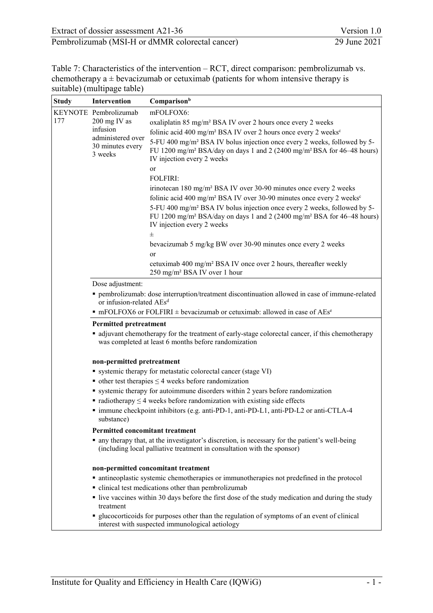| Extract of dossier assessment A21-36            | Version 1.0  |
|-------------------------------------------------|--------------|
| Pembrolizumab (MSI-H or dMMR colorectal cancer) | 29 June 2021 |

<span id="page-19-1"></span><span id="page-19-0"></span>

| Table 7: Characteristics of the intervention – RCT, direct comparison: pembrolizumab vs. |
|------------------------------------------------------------------------------------------|
| chemotherapy $a \pm b$ evacizumab or cetuximab (patients for whom intensive therapy is   |
| suitable) (multipage table)                                                              |

| <b>Study</b> | Intervention                                     | Comparisonb                                                                                                                                                                                                          |  |
|--------------|--------------------------------------------------|----------------------------------------------------------------------------------------------------------------------------------------------------------------------------------------------------------------------|--|
|              | KEYNOTE Pembrolizumab<br>mFOLFOX6:               |                                                                                                                                                                                                                      |  |
| 177          | 200 mg IV as                                     | oxaliplatin 85 mg/m <sup>2</sup> BSA IV over 2 hours once every 2 weeks                                                                                                                                              |  |
|              | infusion                                         | folinic acid 400 mg/m <sup>2</sup> BSA IV over 2 hours once every 2 weeks <sup>c</sup>                                                                                                                               |  |
|              | administered over<br>30 minutes every<br>3 weeks | 5-FU 400 mg/m <sup>2</sup> BSA IV bolus injection once every 2 weeks, followed by 5-<br>FU 1200 mg/m <sup>2</sup> BSA/day on days 1 and 2 (2400 mg/m <sup>2</sup> BSA for 46-48 hours)<br>IV injection every 2 weeks |  |
|              |                                                  | <b>or</b>                                                                                                                                                                                                            |  |
|              |                                                  | <b>FOLFIRI:</b>                                                                                                                                                                                                      |  |
|              |                                                  | irinotecan 180 mg/m <sup>2</sup> BSA IV over 30-90 minutes once every 2 weeks<br>folinic acid 400 mg/m <sup>2</sup> BSA IV over 30-90 minutes once every 2 weeks <sup>c</sup>                                        |  |
|              |                                                  | 5-FU 400 mg/m <sup>2</sup> BSA IV bolus injection once every 2 weeks, followed by 5-<br>FU 1200 mg/m <sup>2</sup> BSA/day on days 1 and 2 (2400 mg/m <sup>2</sup> BSA for 46–48 hours)<br>IV injection every 2 weeks |  |
|              |                                                  | $_{\pm}$                                                                                                                                                                                                             |  |
|              |                                                  | bevacizumab 5 mg/kg BW over 30-90 minutes once every 2 weeks<br><sub>or</sub>                                                                                                                                        |  |
|              |                                                  | cetuximab 400 mg/m <sup>2</sup> BSA IV once over 2 hours, thereafter weekly<br>250 mg/m <sup>2</sup> BSA IV over 1 hour                                                                                              |  |
|              | Dose adjustment:                                 |                                                                                                                                                                                                                      |  |
|              | or infusion-related AEs <sup>d</sup>             | pembrolizumab: dose interruption/treatment discontinuation allowed in case of immune-related                                                                                                                         |  |
|              |                                                  | $\blacksquare$ mFOLFOX6 or FOLFIRI $\pm$ bevacizumab or cetuximab: allowed in case of AEs <sup>e</sup>                                                                                                               |  |
|              | <b>Permitted pretreatment</b>                    |                                                                                                                                                                                                                      |  |
|              |                                                  | • adjuvant chemotherapy for the treatment of early-stage colorectal cancer, if this chemotherapy<br>was completed at least 6 months before randomization                                                             |  |
|              | non-permitted pretreatment                       |                                                                                                                                                                                                                      |  |
|              |                                                  | • systemic therapy for metastatic colorectal cancer (stage VI)                                                                                                                                                       |  |
|              |                                                  | $\bullet$ other test therapies $\leq$ 4 weeks before randomization                                                                                                                                                   |  |
|              |                                                  | • systemic therapy for autoimmune disorders within 2 years before randomization                                                                                                                                      |  |
|              |                                                  | $\blacksquare$ radiotherapy $\leq$ 4 weeks before randomization with existing side effects                                                                                                                           |  |
|              | substance)                                       | " immune checkpoint inhibitors (e.g. anti-PD-1, anti-PD-L1, anti-PD-L2 or anti-CTLA-4                                                                                                                                |  |
|              | <b>Permitted concomitant treatment</b>           |                                                                                                                                                                                                                      |  |
|              |                                                  | • any therapy that, at the investigator's discretion, is necessary for the patient's well-being<br>(including local palliative treatment in consultation with the sponsor)                                           |  |
|              |                                                  | non-permitted concomitant treatment                                                                                                                                                                                  |  |
|              |                                                  | • antineoplastic systemic chemotherapies or immunotherapies not predefined in the protocol                                                                                                                           |  |
|              |                                                  | • clinical test medications other than pembrolizumab                                                                                                                                                                 |  |
|              | treatment                                        | • live vaccines within 30 days before the first dose of the study medication and during the study                                                                                                                    |  |
|              |                                                  | " glucocorticoids for purposes other than the regulation of symptoms of an event of clinical<br>interest with suspected immunological aetiology                                                                      |  |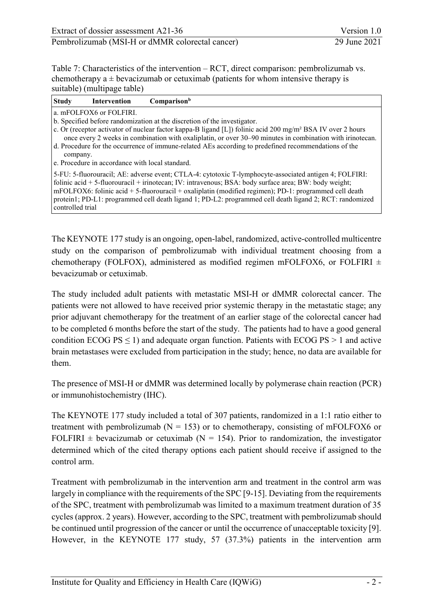Table 7: Characteristics of the intervention – RCT, direct comparison: pembrolizumab vs. chemotherapy  $a \pm b$  evacizumab or cetuximab (patients for whom intensive therapy is suitable) (multipage table)

| <b>Study</b>     | Intervention                                    | Comparison <sup>b</sup>                                                                                                                                                                                                                                                                                                                                                                                                             |
|------------------|-------------------------------------------------|-------------------------------------------------------------------------------------------------------------------------------------------------------------------------------------------------------------------------------------------------------------------------------------------------------------------------------------------------------------------------------------------------------------------------------------|
|                  | a. mFOLFOX6 or FOLFIRI.                         |                                                                                                                                                                                                                                                                                                                                                                                                                                     |
|                  |                                                 | b. Specified before randomization at the discretion of the investigator.                                                                                                                                                                                                                                                                                                                                                            |
|                  |                                                 | c. Or (receptor activator of nuclear factor kappa-B ligand [L]) folinic acid 200 mg/m <sup>2</sup> BSA IV over 2 hours<br>once every 2 weeks in combination with oxaliplatin, or over 30–90 minutes in combination with irinotecan.                                                                                                                                                                                                 |
| company.         |                                                 | d. Procedure for the occurrence of immune-related AEs according to predefined recommendations of the                                                                                                                                                                                                                                                                                                                                |
|                  | e. Procedure in accordance with local standard. |                                                                                                                                                                                                                                                                                                                                                                                                                                     |
| controlled trial |                                                 | 5-FU: 5-fluorouracil; AE: adverse event; CTLA-4: cytotoxic T-lymphocyte-associated antigen 4; FOLFIRI:<br>folinic acid + 5-fluorouracil + irinotecan; IV: intravenous; BSA: body surface area; BW: body weight;<br>mFOLFOX6: folinic acid + 5-fluorouracil + oxaliplatin (modified regimen); PD-1: programmed cell death<br>protein1; PD-L1: programmed cell death ligand 1; PD-L2: programmed cell death ligand 2; RCT: randomized |

The KEYNOTE 177 study is an ongoing, open-label, randomized, active-controlled multicentre study on the comparison of pembrolizumab with individual treatment choosing from a chemotherapy (FOLFOX), administered as modified regimen mFOLFOX6, or FOLFIRI  $\pm$ bevacizumab or cetuximab.

The study included adult patients with metastatic MSI-H or dMMR colorectal cancer. The patients were not allowed to have received prior systemic therapy in the metastatic stage; any prior adjuvant chemotherapy for the treatment of an earlier stage of the colorectal cancer had to be completed 6 months before the start of the study. The patients had to have a good general condition ECOG  $PS \leq 1$ ) and adequate organ function. Patients with ECOG  $PS > 1$  and active brain metastases were excluded from participation in the study; hence, no data are available for them.

The presence of MSI-H or dMMR was determined locally by polymerase chain reaction (PCR) or immunohistochemistry (IHC).

The KEYNOTE 177 study included a total of 307 patients, randomized in a 1:1 ratio either to treatment with pembrolizumab ( $N = 153$ ) or to chemotherapy, consisting of mFOLFOX6 or FOLFIRI  $\pm$  bevacizumab or cetuximab (N = 154). Prior to randomization, the investigator determined which of the cited therapy options each patient should receive if assigned to the control arm.

Treatment with pembrolizumab in the intervention arm and treatment in the control arm was largely in compliance with the requirements of the SPC [\[9-15\]](#page-49-9). Deviating from the requirements of the SPC, treatment with pembrolizumab was limited to a maximum treatment duration of 35 cycles (approx. 2 years). However, according to the SPC, treatment with pembrolizumab should be continued until progression of the cancer or until the occurrence of unacceptable toxicity [\[9\]](#page-49-9). However, in the KEYNOTE 177 study, 57 (37.3%) patients in the intervention arm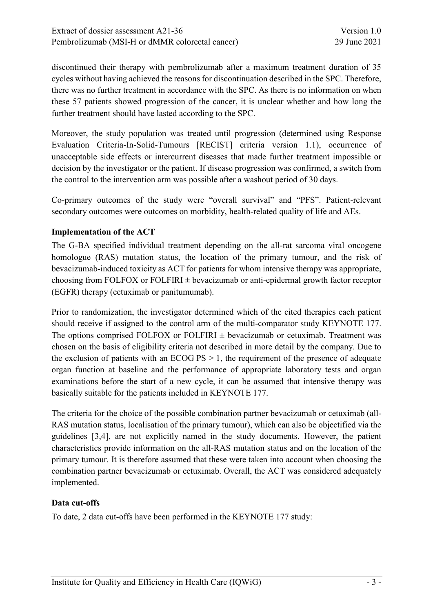discontinued their therapy with pembrolizumab after a maximum treatment duration of 35 cycles without having achieved the reasons for discontinuation described in the SPC. Therefore, there was no further treatment in accordance with the SPC. As there is no information on when these 57 patients showed progression of the cancer, it is unclear whether and how long the further treatment should have lasted according to the SPC.

Moreover, the study population was treated until progression (determined using Response Evaluation Criteria-In-Solid-Tumours [RECIST] criteria version 1.1), occurrence of unacceptable side effects or intercurrent diseases that made further treatment impossible or decision by the investigator or the patient. If disease progression was confirmed, a switch from the control to the intervention arm was possible after a washout period of 30 days.

Co-primary outcomes of the study were "overall survival" and "PFS". Patient-relevant secondary outcomes were outcomes on morbidity, health-related quality of life and AEs.

# **Implementation of the ACT**

The G-BA specified individual treatment depending on the all-rat sarcoma viral oncogene homologue (RAS) mutation status, the location of the primary tumour, and the risk of bevacizumab-induced toxicity as ACT for patients for whom intensive therapy was appropriate, choosing from FOLFOX or FOLFIRI  $\pm$  bevacizumab or anti-epidermal growth factor receptor (EGFR) therapy (cetuximab or panitumumab).

Prior to randomization, the investigator determined which of the cited therapies each patient should receive if assigned to the control arm of the multi-comparator study KEYNOTE 177. The options comprised FOLFOX or FOLFIRI  $\pm$  bevacizumab or cetuximab. Treatment was chosen on the basis of eligibility criteria not described in more detail by the company. Due to the exclusion of patients with an ECOG  $PS > 1$ , the requirement of the presence of adequate organ function at baseline and the performance of appropriate laboratory tests and organ examinations before the start of a new cycle, it can be assumed that intensive therapy was basically suitable for the patients included in KEYNOTE 177.

The criteria for the choice of the possible combination partner bevacizumab or cetuximab (all-RAS mutation status, localisation of the primary tumour), which can also be objectified via the guidelines [\[3](#page-49-10)[,4\]](#page-49-11), are not explicitly named in the study documents. However, the patient characteristics provide information on the all-RAS mutation status and on the location of the primary tumour. It is therefore assumed that these were taken into account when choosing the combination partner bevacizumab or cetuximab. Overall, the ACT was considered adequately implemented.

#### **Data cut-offs**

To date, 2 data cut-offs have been performed in the KEYNOTE 177 study: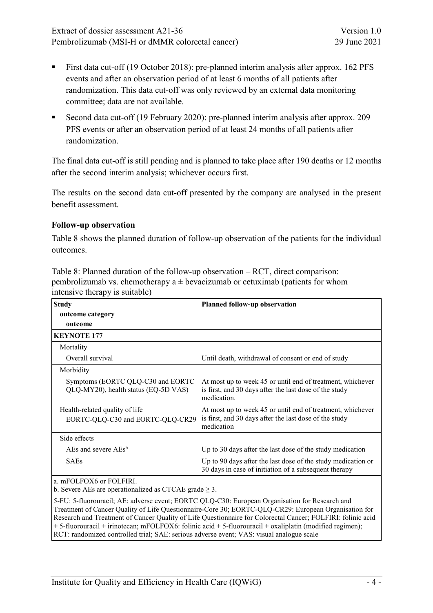- <span id="page-22-1"></span> First data cut-off (19 October 2018): pre-planned interim analysis after approx. 162 PFS events and after an observation period of at least 6 months of all patients after randomization. This data cut-off was only reviewed by an external data monitoring committee; data are not available.
- Second data cut-off (19 February 2020): pre-planned interim analysis after approx. 209 PFS events or after an observation period of at least 24 months of all patients after randomization.

The final data cut-off is still pending and is planned to take place after 190 deaths or 12 months after the second interim analysis; whichever occurs first.

The results on the second data cut-off presented by the company are analysed in the present benefit assessment.

#### **Follow-up observation**

Table 8 shows the planned duration of follow-up observation of the patients for the individual outcomes.

| <b>Study</b>                                                                          | <b>Planned follow-up observation</b>                                                                                                                                                                                                                                                                                  |
|---------------------------------------------------------------------------------------|-----------------------------------------------------------------------------------------------------------------------------------------------------------------------------------------------------------------------------------------------------------------------------------------------------------------------|
| outcome category                                                                      |                                                                                                                                                                                                                                                                                                                       |
| outcome                                                                               |                                                                                                                                                                                                                                                                                                                       |
| <b>KEYNOTE 177</b>                                                                    |                                                                                                                                                                                                                                                                                                                       |
| Mortality                                                                             |                                                                                                                                                                                                                                                                                                                       |
| Overall survival                                                                      | Until death, withdrawal of consent or end of study                                                                                                                                                                                                                                                                    |
| Morbidity                                                                             |                                                                                                                                                                                                                                                                                                                       |
| Symptoms (EORTC QLQ-C30 and EORTC<br>QLQ-MY20), health status (EQ-5D VAS)             | At most up to week 45 or until end of treatment, whichever<br>is first, and 30 days after the last dose of the study<br>medication.                                                                                                                                                                                   |
| Health-related quality of life<br>EORTC-QLQ-C30 and EORTC-QLQ-CR29                    | At most up to week 45 or until end of treatment, whichever<br>is first, and 30 days after the last dose of the study<br>medication                                                                                                                                                                                    |
| Side effects                                                                          |                                                                                                                                                                                                                                                                                                                       |
| AEs and severe $AEs^b$                                                                | Up to 30 days after the last dose of the study medication                                                                                                                                                                                                                                                             |
| <b>SAEs</b>                                                                           | Up to 90 days after the last dose of the study medication or<br>30 days in case of initiation of a subsequent therapy                                                                                                                                                                                                 |
| a. mFOLFOX6 or FOLFIRI.<br>b. Severe AEs are operationalized as CTCAE grade $\geq$ 3. |                                                                                                                                                                                                                                                                                                                       |
|                                                                                       | 5-FU: 5-fluorouracil; AE: adverse event; EORTC QLQ-C30: European Organisation for Research and<br>Treatment of Cancer Quality of Life Questionnaire-Core 30; EORTC-QLQ-CR29: European Organisation for<br>Research and Treatment of Cancer Quality of Life Questionnaire for Colorectal Cancer; FOLFIRI: folinic acid |

+ 5-fluorouracil + irinotecan; mFOLFOX6: folinic acid + 5-fluorouracil + oxaliplatin (modified regimen);

RCT: randomized controlled trial; SAE: serious adverse event; VAS: visual analogue scale

<span id="page-22-0"></span>Table 8: Planned duration of the follow-up observation – RCT, direct comparison: pembrolizumab vs. chemotherapy  $a \pm b$ evacizumab or cetuximab (patients for whom<br>intensive there wisely) intensive therapy is suitable)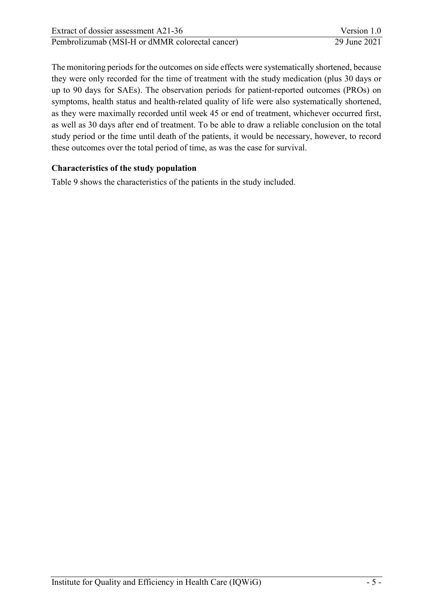| Extract of dossier assessment A21-36            | Version 1.0  |
|-------------------------------------------------|--------------|
| Pembrolizumab (MSI-H or dMMR colorectal cancer) | 29 June 2021 |

The monitoring periods for the outcomes on side effects were systematically shortened, because they were only recorded for the time of treatment with the study medication (plus 30 days or up to 90 days for SAEs). The observation periods for patient-reported outcomes (PROs) on symptoms, health status and health-related quality of life were also systematically shortened, as they were maximally recorded until week 45 or end of treatment, whichever occurred first, as well as 30 days after end of treatment. To be able to draw a reliable conclusion on the total study period or the time until death of the patients, it would be necessary, however, to record these outcomes over the total period of time, as was the case for survival.

#### **Characteristics of the study population**

[Table 9](#page-24-0) shows the characteristics of the patients in the study included.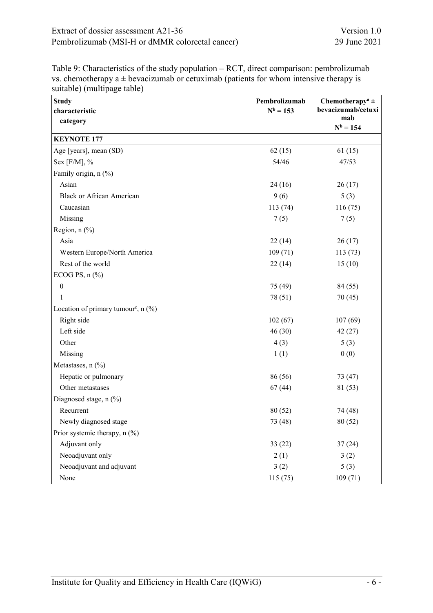| Extract of dossier assessment A21-36            | Version 1.0  |
|-------------------------------------------------|--------------|
| Pembrolizumab (MSI-H or dMMR colorectal cancer) | 29 June 2021 |

<span id="page-24-0"></span>Table 9: Characteristics of the study population – RCT, direct comparison: pembrolizumab vs. chemotherapy  $a \pm b$  evacizumab or cetuximab (patients for whom intensive therapy is suitable) (multipage table)

| <b>Study</b>                                           | Pembrolizumab | Chemotherapy <sup>a</sup> $\pm$ |  |
|--------------------------------------------------------|---------------|---------------------------------|--|
| characteristic                                         | $N^b = 153$   | bevacizumab/cetuxi              |  |
| category                                               |               | mab<br>$N^b = 154$              |  |
| <b>KEYNOTE 177</b>                                     |               |                                 |  |
| Age [years], mean (SD)                                 | 62(15)        | 61(15)                          |  |
| Sex [ $F/M$ ], %                                       | 54/46         | 47/53                           |  |
| Family origin, n (%)                                   |               |                                 |  |
| Asian                                                  | 24(16)        | 26(17)                          |  |
| <b>Black or African American</b>                       | 9(6)          | 5(3)                            |  |
| Caucasian                                              | 113(74)       | 116(75)                         |  |
| Missing                                                | 7(5)          | 7(5)                            |  |
| Region, $n$ (%)                                        |               |                                 |  |
| Asia                                                   | 22(14)        | 26(17)                          |  |
| Western Europe/North America                           | 109(71)       | 113(73)                         |  |
| Rest of the world                                      | 22(14)        | 15(10)                          |  |
| ECOG PS, $n$ $%$                                       |               |                                 |  |
| $\boldsymbol{0}$                                       | 75 (49)       | 84 (55)                         |  |
| 1                                                      | 78 (51)       | 70(45)                          |  |
| Location of primary tumour <sup>c</sup> , $n$ (%)      |               |                                 |  |
| Right side                                             | 102(67)       | 107(69)                         |  |
| Left side                                              | 46(30)        | 42(27)                          |  |
| Other                                                  | 4(3)          | 5(3)                            |  |
| Missing                                                | 1(1)          | 0(0)                            |  |
| Metastases, n (%)                                      |               |                                 |  |
| Hepatic or pulmonary                                   | 86 (56)       | 73 (47)                         |  |
| Other metastases                                       | 67(44)        | 81 (53)                         |  |
| Diagnosed stage, n (%)                                 |               |                                 |  |
| Recurrent                                              | 80 (52)       | 74 (48)                         |  |
|                                                        |               | 80 (52)                         |  |
| Newly diagnosed stage<br>Prior systemic therapy, n (%) | 73 (48)       |                                 |  |
| Adjuvant only                                          |               |                                 |  |
|                                                        | 33(22)        | 37(24)                          |  |
| Neoadjuvant only                                       | 2(1)          | 3(2)                            |  |
| Neoadjuvant and adjuvant                               | 3(2)          | 5(3)                            |  |
| None                                                   | 115(75)       | 109(71)                         |  |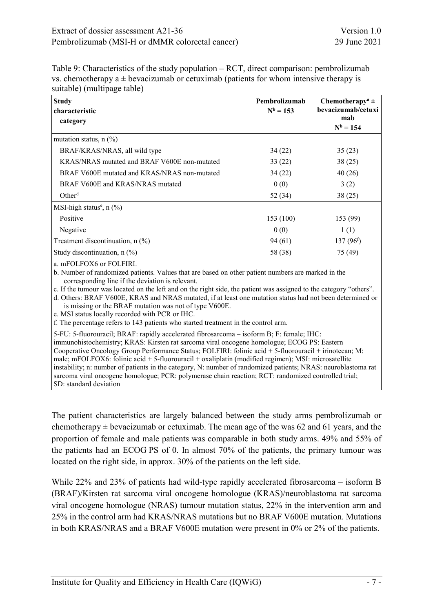Table 9: Characteristics of the study population – RCT, direct comparison: pembrolizumab vs. chemotherapy  $a \pm b$  evacizumab or cetuximab (patients for whom intensive therapy is suitable) (multipage table)

| <b>Study</b><br>characteristic               | Pembrolizumab<br>$N^b = 153$ | Chemotherapy <sup>a</sup> $\pm$<br>bevacizumab/cetuxi |  |
|----------------------------------------------|------------------------------|-------------------------------------------------------|--|
| category                                     |                              | mab<br>$N^b = 154$                                    |  |
| mutation status, $n$ (%)                     |                              |                                                       |  |
| BRAF/KRAS/NRAS, all wild type                | 34(22)                       | 35(23)                                                |  |
| KRAS/NRAS mutated and BRAF V600E non-mutated | 33(22)                       | 38(25)                                                |  |
| BRAF V600E mutated and KRAS/NRAS non-mutated | 34(22)                       | 40(26)                                                |  |
| BRAF V600E and KRAS/NRAS mutated             | 0(0)                         | 3(2)                                                  |  |
| Other <sup>d</sup>                           | 52 (34)                      | 38(25)                                                |  |
| MSI-high status <sup>e</sup> , $n$ (%)       |                              |                                                       |  |
| Positive                                     | 153 (100)                    | 153 (99)                                              |  |
| Negative                                     | 0(0)                         | 1(1)                                                  |  |
| Treatment discontinuation, $n$ (%)           | 94(61)                       | $137(96^f)$                                           |  |
| Study discontinuation, $n$ (%)               | 58 (38)                      | 75 (49)                                               |  |
| $\ldots$ EQUIDATE: $\ldots$ EQUIDENT         |                              |                                                       |  |

a. mFOLFOX6 or FOLFIRI.

b. Number of randomized patients. Values that are based on other patient numbers are marked in the corresponding line if the deviation is relevant.

c. If the tumour was located on the left and on the right side, the patient was assigned to the category "others".

d. Others: BRAF V600E, KRAS and NRAS mutated, if at least one mutation status had not been determined or is missing or the BRAF mutation was not of type V600E.

e. MSI status locally recorded with PCR or IHC.

f. The percentage refers to 143 patients who started treatment in the control arm.

5-FU: 5-fluorouracil; BRAF: rapidly accelerated fibrosarcoma – isoform B; F: female; IHC:

immunohistochemistry; KRAS: Kirsten rat sarcoma viral oncogene homologue; ECOG PS: Eastern Cooperative Oncology Group Performance Status; FOLFIRI: folinic acid + 5-fluorouracil + irinotecan; M: male; mFOLFOX6: folinic acid + 5-fluorouracil + oxaliplatin (modified regimen); MSI: microsatellite instability; n: number of patients in the category, N: number of randomized patients; NRAS: neuroblastoma rat sarcoma viral oncogene homologue; PCR: polymerase chain reaction; RCT: randomized controlled trial; SD: standard deviation

The patient characteristics are largely balanced between the study arms pembrolizumab or chemotherapy  $\pm$  bevacizumab or cetuximab. The mean age of the was 62 and 61 years, and the proportion of female and male patients was comparable in both study arms. 49% and 55% of the patients had an ECOG PS of 0. In almost 70% of the patients, the primary tumour was located on the right side, in approx. 30% of the patients on the left side.

While 22% and 23% of patients had wild-type rapidly accelerated fibrosarcoma – isoform B (BRAF)/Kirsten rat sarcoma viral oncogene homologue (KRAS)/neuroblastoma rat sarcoma viral oncogene homologue (NRAS) tumour mutation status, 22% in the intervention arm and 25% in the control arm had KRAS/NRAS mutations but no BRAF V600E mutation. Mutations in both KRAS/NRAS and a BRAF V600E mutation were present in 0% or 2% of the patients.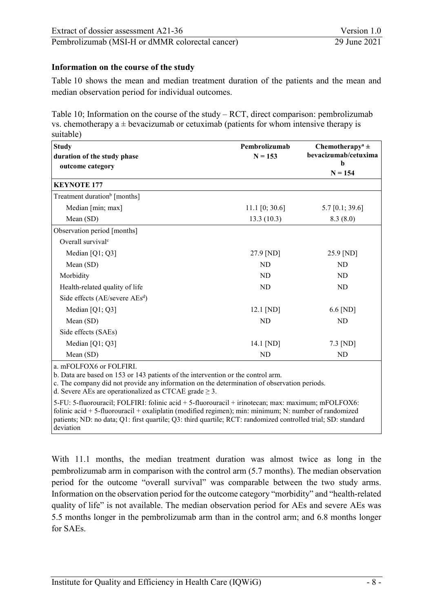#### **Information on the course of the study**

[Table 10](#page-26-0) shows the mean and median treatment duration of the patients and the mean and median observation period for individual outcomes.

<span id="page-26-0"></span>Table 10; Information on the course of the study – RCT, direct comparison: pembrolizumab vs. chemotherapy  $a \pm b$  evacizumab or cetuximab (patients for whom intensive therapy is suitable)

| <b>Study</b>                                              | Pembrolizumab    | Chemotherapy <sup>a</sup> $\pm$ |  |
|-----------------------------------------------------------|------------------|---------------------------------|--|
| duration of the study phase                               | $N = 153$        | bevacizumab/cetuxima            |  |
| outcome category                                          |                  | b<br>$N = 154$                  |  |
| <b>KEYNOTE 177</b>                                        |                  |                                 |  |
| Treatment duration <sup>b</sup> [months]                  |                  |                                 |  |
| Median [min; max]                                         | 11.1 $[0; 30.6]$ | 5.7 $[0.1; 39.6]$               |  |
| Mean (SD)                                                 | 13.3(10.3)       | 8.3(8.0)                        |  |
| Observation period [months]                               |                  |                                 |  |
| Overall survival <sup>c</sup>                             |                  |                                 |  |
| Median $[Q1; Q3]$                                         | 27.9 [ND]        | 25.9 [ND]                       |  |
| Mean (SD)                                                 | ND               | N <sub>D</sub>                  |  |
| Morbidity                                                 | ND               | ND.                             |  |
| Health-related quality of life                            | ND               | ND.                             |  |
| Side effects $(AE/\text{severe } AEs^d)$                  |                  |                                 |  |
| Median [Q1; Q3]                                           | $12.1$ [ND]      | $6.6$ [ND]                      |  |
| Mean (SD)                                                 | ND               | ND                              |  |
| Side effects (SAEs)                                       |                  |                                 |  |
| Median [Q1; Q3]                                           | 14.1 [ND]        | $7.3$ [ND]                      |  |
| Mean (SD)                                                 | ND               | ND                              |  |
| $P\triangle T P\triangle V$ $\angle$ $P\triangle T P T T$ |                  |                                 |  |

a. mFOLFOX6 or FOLFIRI.

b. Data are based on 153 or 143 patients of the intervention or the control arm.

c. The company did not provide any information on the determination of observation periods.

d. Severe AEs are operationalized as CTCAE grade  $\geq$  3.

5-FU: 5-fluorouracil; FOLFIRI: folinic acid + 5-fluorouracil + irinotecan; max: maximum; mFOLFOX6: folinic acid + 5-fluorouracil + oxaliplatin (modified regimen); min: minimum; N: number of randomized patients; ND: no data; Q1: first quartile; Q3: third quartile; RCT: randomized controlled trial; SD: standard deviation

With 11.1 months, the median treatment duration was almost twice as long in the pembrolizumab arm in comparison with the control arm (5.7 months). The median observation period for the outcome "overall survival" was comparable between the two study arms. Information on the observation period for the outcome category "morbidity" and "health-related quality of life" is not available. The median observation period for AEs and severe AEs was 5.5 months longer in the pembrolizumab arm than in the control arm; and 6.8 months longer for SAEs.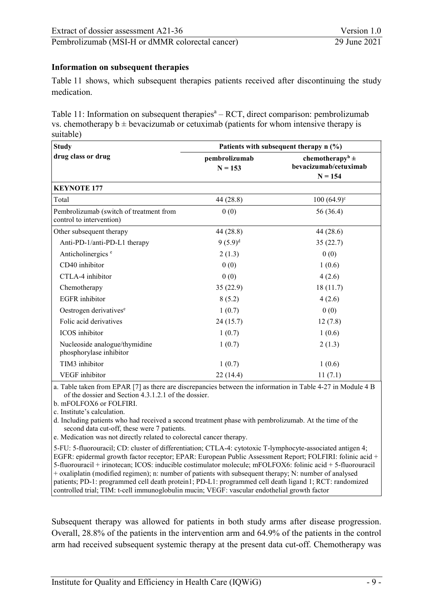#### **Information on subsequent therapies**

[Table 11](#page-27-0) shows, which subsequent therapies patients received after discontinuing the study medication.

<span id="page-27-0"></span>Table 11: Information on subsequent therapies $a - RCT$ , direct comparison: pembrolizumab vs. chemotherapy  $b \pm b$  evacizumab or cetuximab (patients for whom intensive therapy is suitable)

| <b>Study</b>                                                        | Patients with subsequent therapy $n$ (%) |                                                          |  |  |
|---------------------------------------------------------------------|------------------------------------------|----------------------------------------------------------|--|--|
| drug class or drug                                                  | pembrolizumab<br>$N = 153$               | chemotherapy <sup>b</sup> $\pm$<br>bevacizumab/cetuximab |  |  |
|                                                                     |                                          | $N = 154$                                                |  |  |
| <b>KEYNOTE 177</b>                                                  |                                          |                                                          |  |  |
| Total                                                               | 44 (28.8)                                | $100(64.9)^c$                                            |  |  |
| Pembrolizumab (switch of treatment from<br>control to intervention) | 0(0)                                     | 56 (36.4)                                                |  |  |
| Other subsequent therapy                                            | 44 (28.8)                                | 44 (28.6)                                                |  |  |
| Anti-PD-1/anti-PD-L1 therapy                                        | $9(5.9)^d$                               | 35(22.7)                                                 |  |  |
| Anticholinergics <sup>e</sup>                                       | 2(1.3)                                   | 0(0)                                                     |  |  |
| CD40 inhibitor                                                      | 0(0)                                     | 1(0.6)                                                   |  |  |
| CTLA-4 inhibitor                                                    | 0(0)                                     | 4(2.6)                                                   |  |  |
| Chemotherapy                                                        | 35(22.9)                                 | 18(11.7)                                                 |  |  |
| <b>EGFR</b> inhibitor                                               | 8(5.2)                                   | 4(2.6)                                                   |  |  |
| Oestrogen derivatives <sup>e</sup>                                  | 1(0.7)                                   | 0(0)                                                     |  |  |
| Folic acid derivatives                                              | 24(15.7)                                 | 12(7.8)                                                  |  |  |
| <b>ICOS</b> inhibitor                                               | 1(0.7)                                   | 1(0.6)                                                   |  |  |
| Nucleoside analogue/thymidine<br>phosphorylase inhibitor            | 1(0.7)                                   | 2(1.3)                                                   |  |  |
| TIM3 inhibitor                                                      | 1(0.7)                                   | 1(0.6)                                                   |  |  |
| <b>VEGF</b> inhibitor                                               | 22(14.4)                                 | 11(7.1)                                                  |  |  |

a. Table taken from EPAR [\[7\]](#page-49-12) as there are discrepancies between the information in Table 4-27 in Module 4 B of the dossier and Section 4.3.1.2.1 of the dossier.

b. mFOLFOX6 or FOLFIRI.

c. Institute's calculation.

d. Including patients who had received a second treatment phase with pembrolizumab. At the time of the second data cut-off, these were 7 patients.

e. Medication was not directly related to colorectal cancer therapy.

5-FU: 5-fluorouracil; CD: cluster of differentiation; CTLA-4: cytotoxic T-lymphocyte-associated antigen 4; EGFR: epidermal growth factor receptor; EPAR: European Public Assessment Report; FOLFIRI: folinic acid + 5-fluorouracil + irinotecan; ICOS: inducible costimulator molecule; mFOLFOX6: folinic acid + 5-fluorouracil + oxaliplatin (modified regimen); n: number of patients with subsequent therapy; N: number of analysed patients; PD-1: programmed cell death protein1; PD-L1: programmed cell death ligand 1; RCT: randomized controlled trial; TIM: t-cell immunoglobulin mucin; VEGF: vascular endothelial growth factor

Subsequent therapy was allowed for patients in both study arms after disease progression. Overall, 28.8% of the patients in the intervention arm and 64.9% of the patients in the control arm had received subsequent systemic therapy at the present data cut-off. Chemotherapy was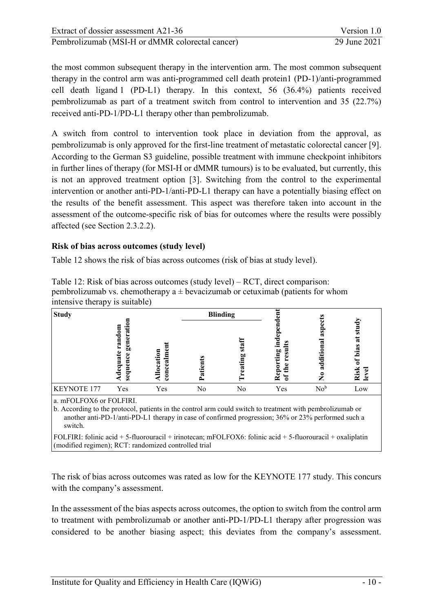the most common subsequent therapy in the intervention arm. The most common subsequent therapy in the control arm was anti-programmed cell death protein1 (PD-1)/anti-programmed cell death ligand 1 (PD-L1) therapy. In this context, 56 (36.4%) patients received pembrolizumab as part of a treatment switch from control to intervention and 35 (22.7%) received anti-PD-1/PD-L1 therapy other than pembrolizumab.

A switch from control to intervention took place in deviation from the approval, as pembrolizumab is only approved for the first-line treatment of metastatic colorectal cancer [\[9\]](#page-49-9). According to the German S3 guideline, possible treatment with immune checkpoint inhibitors in further lines of therapy (for MSI-H or dMMR tumours) is to be evaluated, but currently, this is not an approved treatment option [\[3\]](#page-49-10). Switching from the control to the experimental intervention or another anti-PD-1/anti-PD-L1 therapy can have a potentially biasing effect on the results of the benefit assessment. This aspect was therefore taken into account in the assessment of the outcome-specific risk of bias for outcomes where the results were possibly affected (see Section [2.3.2.2\)](#page-32-0).

#### **Risk of bias across outcomes (study level)**

[Table 12](#page-28-0) shows the risk of bias across outcomes (risk of bias at study level).

| <b>Study</b>       |                                                                                                      |                                      | <b>Blinding</b>                  |                     |                                                           | Ø.                          |                                       |
|--------------------|------------------------------------------------------------------------------------------------------|--------------------------------------|----------------------------------|---------------------|-----------------------------------------------------------|-----------------------------|---------------------------------------|
|                    | random<br>.ē<br>≂<br>ē<br>es<br>So<br>Ľ<br>೪<br>ផ្ទ<br>5<br>$\mathbf{d}\mathbf{e}\mathbf{q}$<br>sequ | ⊟<br>◓<br>cati<br>$_{\rm ceal}$<br>3 | ω<br>a<br>÷<br>œ<br>$\mathbf{r}$ | w<br>$\omega$<br>ъc | ≌<br>.크<br>ting<br>res<br>the<br>$\frac{6}{2}$<br>ัธ<br>≃ | ဌ<br>ಡ<br>œ<br>渇<br>್ಡ<br>z | ರ<br>ಕ<br>ನ<br>bias<br>Risk<br>ಕ<br>౨ |
| <b>KEYNOTE 177</b> | Yes                                                                                                  | Yes                                  | No                               | No                  | Yes                                                       | No <sup>b</sup>             | Low                                   |

<span id="page-28-0"></span>Table 12: Risk of bias across outcomes (study level) – RCT, direct comparison: pembrolizumab vs. chemotherapy  $a \pm b$  evacizumab or cetuximab (patients for whom intensive therapy is suitable)

a. mFOLFOX6 or FOLFIRI.

b. According to the protocol, patients in the control arm could switch to treatment with pembrolizumab or another anti-PD-1/anti-PD-L1 therapy in case of confirmed progression; 36% or 23% performed such a switch.

FOLFIRI: folinic acid + 5-fluorouracil + irinotecan; mFOLFOX6: folinic acid + 5-fluorouracil + oxaliplatin (modified regimen); RCT: randomized controlled trial

The risk of bias across outcomes was rated as low for the KEYNOTE 177 study. This concurs with the company's assessment.

In the assessment of the bias aspects across outcomes, the option to switch from the control arm to treatment with pembrolizumab or another anti-PD-1/PD-L1 therapy after progression was considered to be another biasing aspect; this deviates from the company's assessment.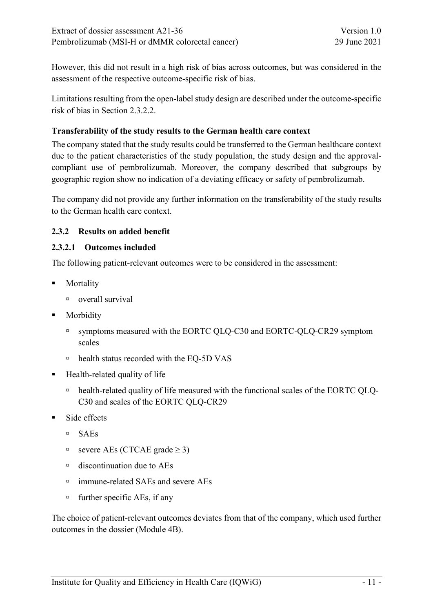However, this did not result in a high risk of bias across outcomes, but was considered in the assessment of the respective outcome-specific risk of bias.

Limitations resulting from the open-label study design are described under the outcome-specific risk of bias in Section 2.3.2.2.

# **Transferability of the study results to the German health care context**

The company stated that the study results could be transferred to the German healthcare context due to the patient characteristics of the study population, the study design and the approvalcompliant use of pembrolizumab. Moreover, the company described that subgroups by geographic region show no indication of a deviating efficacy or safety of pembrolizumab.

The company did not provide any further information on the transferability of the study results to the German health care context.

# <span id="page-29-0"></span>**2.3.2 Results on added benefit**

#### <span id="page-29-1"></span>**2.3.2.1 Outcomes included**

The following patient-relevant outcomes were to be considered in the assessment:

- **Mortality** 
	- overall survival
- **Morbidity** 
	- symptoms measured with the EORTC QLQ-C30 and EORTC-QLQ-CR29 symptom scales
	- health status recorded with the EQ-5D VAS
- Health-related quality of life
	- health-related quality of life measured with the functional scales of the EORTC QLQ-C30 and scales of the EORTC QLQ-CR29
- Side effects
	- $SAEs$
	- $s$  severe AEs (CTCAE grade ≥ 3)
	- discontinuation due to AEs
	- □ immune-related SAEs and severe AEs
	- $\Box$  further specific AEs, if any

The choice of patient-relevant outcomes deviates from that of the company, which used further outcomes in the dossier (Module 4B).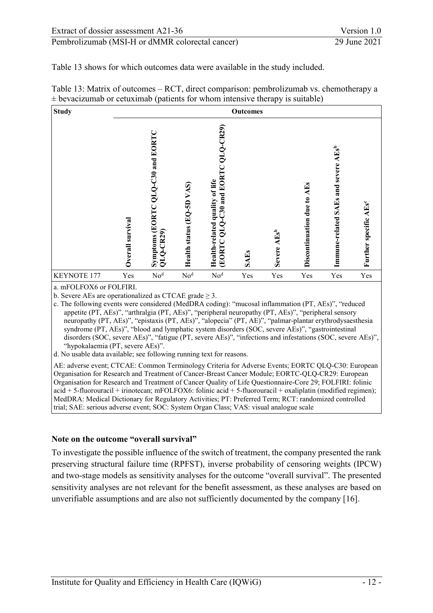[Table 13](#page-30-0) shows for which outcomes data were available in the study included.

| <b>Study</b> |                     |                                                     |                              |                                                                                            | <b>Outcomes</b> |                   |                                      |                                                    |                                   |
|--------------|---------------------|-----------------------------------------------------|------------------------------|--------------------------------------------------------------------------------------------|-----------------|-------------------|--------------------------------------|----------------------------------------------------|-----------------------------------|
|              | survival<br>Overall | QLQ-C30 and EORT<br>Symptoms (EORTC<br>$QLQ$ -CR29) | VAS)<br>Health status (EQ-5D | $QLQ$ -CR29)<br>-C30 and EORTC<br>Health-related quality of life<br>Š<br>ಠ<br><b>EORTC</b> | <b>SAEs</b>     | $AEs^b$<br>Severe | <b>AEs</b><br>Discontinuation due to | SAEs and severe AEs <sup>b</sup><br>Immune-related | Further specific AEs <sup>c</sup> |
| KEYNOTE 177  | Yes                 | No <sup>d</sup>                                     | No <sup>d</sup>              | No <sup>d</sup>                                                                            | Yes             | Yes               | Yes                                  | Yes                                                | Yes                               |

<span id="page-30-0"></span>Table 13: Matrix of outcomes – RCT, direct comparison: pembrolizumab vs. chemotherapy a  $\pm$  bevacizumab or cetuximab (patients for whom intensive therapy is suitable)

a. mFOLFOX6 or FOLFIRI.

b. Severe AEs are operationalized as CTCAE grade  $\geq$  3.

c. The following events were considered (MedDRA coding): "mucosal inflammation (PT, AEs)", "reduced appetite (PT, AEs)", "arthralgia (PT, AEs)", "peripheral neuropathy (PT, AEs)", "peripheral sensory neuropathy (PT, AEs)", "epistaxis (PT, AEs)", "alopecia" (PT, AE)", "palmar-plantar erythrodysaesthesia syndrome (PT, AEs)", "blood and lymphatic system disorders (SOC, severe AEs)", "gastrointestinal disorders (SOC, severe AEs)", "fatigue (PT, severe AEs)", "infections and infestations (SOC, severe AEs)", "hypokalaemia (PT, severe AEs)".

d. No usable data available; see following running text for reasons.

AE: adverse event; CTCAE: Common Terminology Criteria for Adverse Events; EORTC QLQ-C30: European Organisation for Research and Treatment of Cancer-Breast Cancer Module; EORTC-QLQ-CR29: European Organisation for Research and Treatment of Cancer Quality of Life Questionnaire-Core 29; FOLFIRI: folinic acid + 5-fluorouracil + irinotecan; mFOLFOX6: folinic acid + 5-fluorouracil + oxaliplatin (modified regimen); MedDRA: Medical Dictionary for Regulatory Activities; PT: Preferred Term; RCT: randomized controlled trial; SAE: serious adverse event; SOC: System Organ Class; VAS: visual analogue scale

#### **Note on the outcome "overall survival"**

To investigate the possible influence of the switch of treatment, the company presented the rank preserving structural failure time (RPFST), inverse probability of censoring weights (IPCW) and two-stage models as sensitivity analyses for the outcome "overall survival". The presented sensitivity analyses are not relevant for the benefit assessment, as these analyses are based on unverifiable assumptions and are also not sufficiently documented by the company [\[16\]](#page-50-0).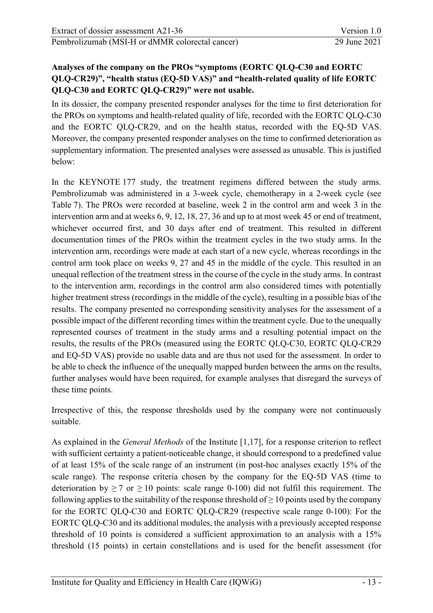# **Analyses of the company on the PROs "symptoms (EORTC QLQ-C30 and EORTC QLQ-CR29)", "health status (EQ-5D VAS)" and "health-related quality of life EORTC QLQ-C30 and EORTC QLQ-CR29)" were not usable.**

In its dossier, the company presented responder analyses for the time to first deterioration for the PROs on symptoms and health-related quality of life, recorded with the EORTC QLQ-C30 and the EORTC QLQ-CR29, and on the health status, recorded with the EQ-5D VAS. Moreover, the company presented responder analyses on the time to confirmed deterioration as supplementary information. The presented analyses were assessed as unusable. This is justified below:

In the KEYNOTE 177 study, the treatment regimens differed between the study arms. Pembrolizumab was administered in a 3-week cycle, chemotherapy in a 2-week cycle (see [Table 7\)](#page-19-0). The PROs were recorded at baseline, week 2 in the control arm and week 3 in the intervention arm and at weeks 6, 9, 12, 18, 27, 36 and up to at most week 45 or end of treatment, whichever occurred first, and 30 days after end of treatment. This resulted in different documentation times of the PROs within the treatment cycles in the two study arms. In the intervention arm, recordings were made at each start of a new cycle, whereas recordings in the control arm took place on weeks 9, 27 and 45 in the middle of the cycle. This resulted in an unequal reflection of the treatment stress in the course of the cycle in the study arms. In contrast to the intervention arm, recordings in the control arm also considered times with potentially higher treatment stress (recordings in the middle of the cycle), resulting in a possible bias of the results. The company presented no corresponding sensitivity analyses for the assessment of a possible impact of the different recording times within the treatment cycle. Due to the unequally represented courses of treatment in the study arms and a resulting potential impact on the results, the results of the PROs (measured using the EORTC QLQ-C30, EORTC QLQ-CR29 and EQ-5D VAS) provide no usable data and are thus not used for the assessment. In order to be able to check the influence of the unequally mapped burden between the arms on the results, further analyses would have been required, for example analyses that disregard the surveys of these time points.

Irrespective of this, the response thresholds used by the company were not continuously suitable.

As explained in the *General Methods* of the Institute [\[1](#page-49-13)[,17\]](#page-50-1), for a response criterion to reflect with sufficient certainty a patient-noticeable change, it should correspond to a predefined value of at least 15% of the scale range of an instrument (in post-hoc analyses exactly 15% of the scale range). The response criteria chosen by the company for the EQ-5D VAS (time to deterioration by  $\geq 7$  or  $\geq 10$  points: scale range 0-100) did not fulfil this requirement. The following applies to the suitability of the response threshold of  $\geq 10$  points used by the company for the EORTC QLQ-C30 and EORTC QLQ-CR29 (respective scale range 0-100): For the EORTC QLQ-C30 and its additional modules, the analysis with a previously accepted response threshold of 10 points is considered a sufficient approximation to an analysis with a 15% threshold (15 points) in certain constellations and is used for the benefit assessment (for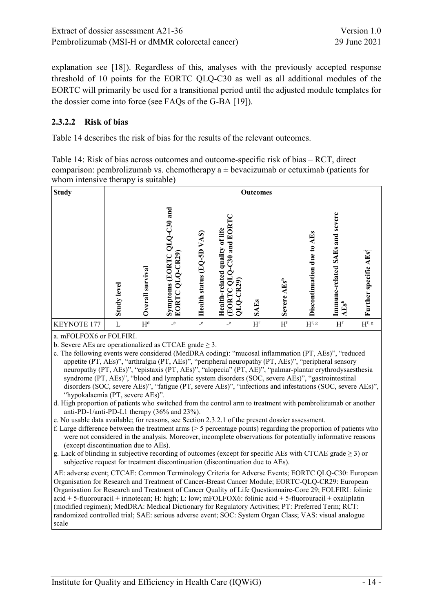| Extract of dossier assessment A21-36            | Version 1.0  |
|-------------------------------------------------|--------------|
| Pembrolizumab (MSI-H or dMMR colorectal cancer) | 29 June 2021 |

explanation see [\[18\]](#page-50-2)). Regardless of this, analyses with the previously accepted response threshold of 10 points for the EORTC QLQ-C30 as well as all additional modules of the EORTC will primarily be used for a transitional period until the adjusted module templates for the dossier come into force (see FAQs of the G-BA [\[19\]](#page-50-3)).

#### <span id="page-32-0"></span>**2.3.2.2 Risk of bias**

[Table 14](#page-32-1) describes the risk of bias for the results of the relevant outcomes.

<span id="page-32-1"></span>Table 14: Risk of bias across outcomes and outcome-specific risk of bias – RCT, direct comparison: pembrolizumab vs. chemotherapy  $a \pm b$ evacizumab or cetuximab (patients for whom intensive therapy is suitable)

| <b>Study</b>       |                    |                     | <b>Outcomes</b>                                                              |                                        |                                                                         |                |                          |                                        |                                              |                                   |
|--------------------|--------------------|---------------------|------------------------------------------------------------------------------|----------------------------------------|-------------------------------------------------------------------------|----------------|--------------------------|----------------------------------------|----------------------------------------------|-----------------------------------|
|                    | <b>Study level</b> | survival<br>Overall | and<br>$\overline{C30}$<br>Q<br>10<br>$QLQ-CR29$<br>Symptoms (EORTC<br>EORTC | VAS)<br>(EQ-5D<br><b>Health</b> status | EORTC QLQ-C30 and EOR<br>Health-related quality of life<br>$QLO$ -CR29) | <b>SAEs</b>    | $AEs^b$<br><b>Severe</b> | $\mathbf{E}$<br>Discontinuation due to | severe<br>Immune-related SAEs and<br>$AEs^b$ | Further specific AEs <sup>e</sup> |
| <b>KEYNOTE 177</b> | L                  | H <sup>d</sup>      | $\mathbf{e}$                                                                 | $\mathbf{e}$                           | $\mathbf{e}$                                                            | H <sup>f</sup> | H <sup>f</sup>           | $H^{\mathrm{f, \, g}}$                 | $\mathbf{H}^\mathrm{f}$                      | $\mathbf{H}^\text{f, g}$          |

a. mFOLFOX6 or FOLFIRI.

b. Severe AEs are operationalized as CTCAE grade  $\geq$  3.

- c. The following events were considered (MedDRA coding): "mucosal inflammation (PT, AEs)", "reduced appetite (PT, AEs)", "arthralgia (PT, AEs)", "peripheral neuropathy (PT, AEs)", "peripheral sensory neuropathy (PT, AEs)", "epistaxis (PT, AEs)", "alopecia" (PT, AE)", "palmar-plantar erythrodysaesthesia syndrome (PT, AEs)", "blood and lymphatic system disorders (SOC, severe AEs)", "gastrointestinal disorders (SOC, severe AEs)", "fatigue (PT, severe AEs)", "infections and infestations (SOC, severe AEs)", "hypokalaemia (PT, severe AEs)".
- d. High proportion of patients who switched from the control arm to treatment with pembrolizumab or another anti-PD-1/anti-PD-L1 therapy (36% and 23%).
- e. No usable data available; for reasons, see Section [2.3.2.1](#page-29-1) of the present dossier assessment.
- f. Large difference between the treatment arms (> 5 percentage points) regarding the proportion of patients who were not considered in the analysis. Moreover, incomplete observations for potentially informative reasons (except discontinuation due to AEs).
- g. Lack of blinding in subjective recording of outcomes (except for specific AEs with CTCAE grade  $\geq$  3) or subjective request for treatment discontinuation (discontinuation due to AEs).

AE: adverse event; CTCAE: Common Terminology Criteria for Adverse Events; EORTC QLQ-C30: European Organisation for Research and Treatment of Cancer-Breast Cancer Module; EORTC-QLQ-CR29: European Organisation for Research and Treatment of Cancer Quality of Life Questionnaire-Core 29; FOLFIRI: folinic acid + 5-fluorouracil + irinotecan; H: high; L: low; mFOLFOX6: folinic acid + 5-fluorouracil + oxaliplatin (modified regimen); MedDRA: Medical Dictionary for Regulatory Activities; PT: Preferred Term; RCT: randomized controlled trial; SAE: serious adverse event; SOC: System Organ Class; VAS: visual analogue scale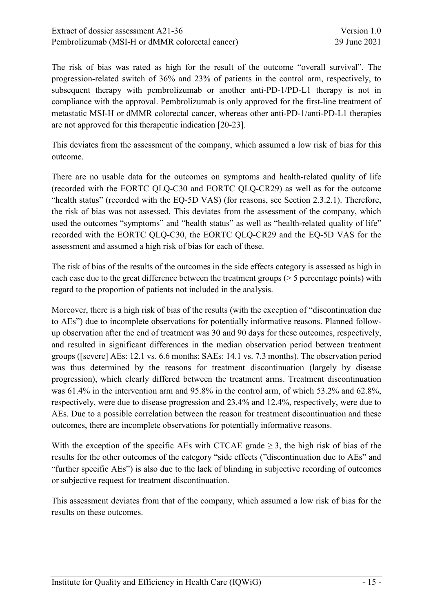The risk of bias was rated as high for the result of the outcome "overall survival". The progression-related switch of 36% and 23% of patients in the control arm, respectively, to subsequent therapy with pembrolizumab or another anti-PD-1/PD-L1 therapy is not in compliance with the approval. Pembrolizumab is only approved for the first-line treatment of metastatic MSI-H or dMMR colorectal cancer, whereas other anti-PD-1/anti-PD-L1 therapies are not approved for this therapeutic indication [\[20-23\]](#page-50-4).

This deviates from the assessment of the company, which assumed a low risk of bias for this outcome.

There are no usable data for the outcomes on symptoms and health-related quality of life (recorded with the EORTC QLQ-C30 and EORTC QLQ-CR29) as well as for the outcome "health status" (recorded with the EQ-5D VAS) (for reasons, see Section 2.3.2.1). Therefore, the risk of bias was not assessed. This deviates from the assessment of the company, which used the outcomes "symptoms" and "health status" as well as "health-related quality of life" recorded with the EORTC QLQ-C30, the EORTC QLQ-CR29 and the EQ-5D VAS for the assessment and assumed a high risk of bias for each of these.

The risk of bias of the results of the outcomes in the side effects category is assessed as high in each case due to the great difference between the treatment groups (> 5 percentage points) with regard to the proportion of patients not included in the analysis.

Moreover, there is a high risk of bias of the results (with the exception of "discontinuation due to AEs") due to incomplete observations for potentially informative reasons. Planned followup observation after the end of treatment was 30 and 90 days for these outcomes, respectively, and resulted in significant differences in the median observation period between treatment groups ([severe] AEs: 12.1 vs. 6.6 months; SAEs: 14.1 vs. 7.3 months). The observation period was thus determined by the reasons for treatment discontinuation (largely by disease progression), which clearly differed between the treatment arms. Treatment discontinuation was 61.4% in the intervention arm and 95.8% in the control arm, of which 53.2% and 62.8%, respectively, were due to disease progression and 23.4% and 12.4%, respectively, were due to AEs. Due to a possible correlation between the reason for treatment discontinuation and these outcomes, there are incomplete observations for potentially informative reasons.

With the exception of the specific AEs with CTCAE grade  $\geq$  3, the high risk of bias of the results for the other outcomes of the category "side effects ("discontinuation due to AEs" and "further specific AEs") is also due to the lack of blinding in subjective recording of outcomes or subjective request for treatment discontinuation.

This assessment deviates from that of the company, which assumed a low risk of bias for the results on these outcomes.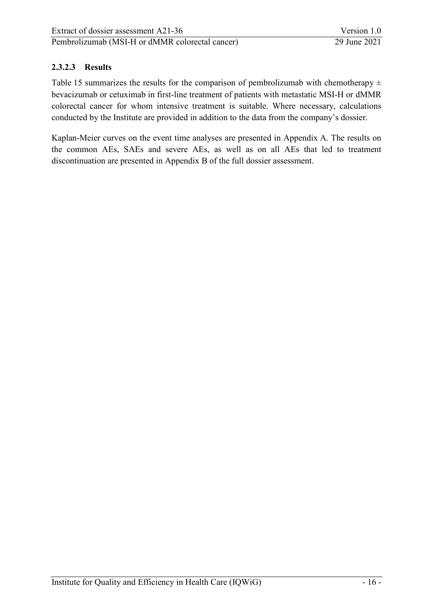# <span id="page-34-0"></span>**2.3.2.3 Results**

[Table 15](#page-35-0) summarizes the results for the comparison of pembrolizumab with chemotherapy  $\pm$ bevacizumab or cetuximab in first-line treatment of patients with metastatic MSI-H or dMMR colorectal cancer for whom intensive treatment is suitable. Where necessary, calculations conducted by the Institute are provided in addition to the data from the company's dossier.

Kaplan-Meier curves on the event time analyses are presented in Appendix A. The results on the common AEs, SAEs and severe AEs, as well as on all AEs that led to treatment discontinuation are presented in Appendix B of the full dossier assessment.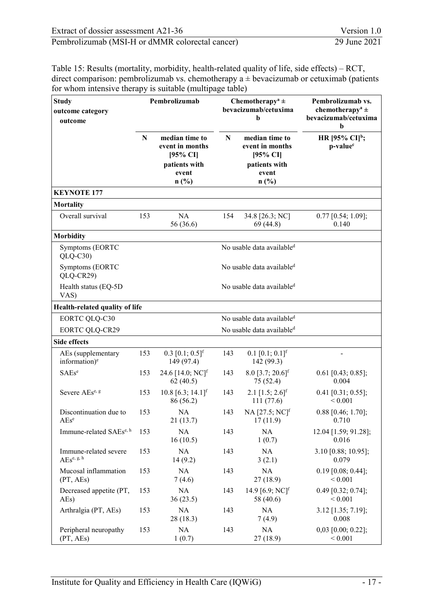<span id="page-35-0"></span>Table 15: Results (mortality, morbidity, health-related quality of life, side effects) – RCT, direct comparison: pembrolizumab vs. chemotherapy  $a \pm b$  evacizumab or cetuximab (patients for whom intensive therapy is suitable (multipage table)

| <b>Study</b><br>outcome category<br>outcome                          |             | Pembrolizumab                                                  |     | Chemotherapy <sup>a</sup> $\pm$<br>bevacizumab/cetuxima<br>b   | Pembrolizumab vs.<br>chemotherapy <sup>a</sup> $\pm$<br>bevacizumab/cetuxima<br>h |
|----------------------------------------------------------------------|-------------|----------------------------------------------------------------|-----|----------------------------------------------------------------|-----------------------------------------------------------------------------------|
|                                                                      | $\mathbf N$ | median time to<br>event in months<br>[95% CI]<br>patients with | N   | median time to<br>event in months<br>[95% CI]<br>patients with | HR [95% CI] <sup>b</sup> ;<br>p-value <sup>c</sup>                                |
|                                                                      |             | event<br>n(%)                                                  |     | event<br>n(%)                                                  |                                                                                   |
| <b>KEYNOTE 177</b>                                                   |             |                                                                |     |                                                                |                                                                                   |
| <b>Mortality</b>                                                     |             |                                                                |     |                                                                |                                                                                   |
| Overall survival                                                     | 153         | <b>NA</b><br>56 (36.6)                                         | 154 | 34.8 [26.3; NC]<br>69 (44.8)                                   | $0.77$ [0.54; 1.09];<br>0.140                                                     |
| <b>Morbidity</b>                                                     |             |                                                                |     |                                                                |                                                                                   |
| Symptoms (EORTC<br>$QLQ-C30$                                         |             |                                                                |     | No usable data available <sup>d</sup>                          |                                                                                   |
| Symptoms (EORTC<br>QLQ-CR29)                                         |             |                                                                |     | No usable data available <sup>d</sup>                          |                                                                                   |
| Health status (EQ-5D<br>VAS)                                         |             |                                                                |     | No usable data available <sup>d</sup>                          |                                                                                   |
| Health-related quality of life                                       |             |                                                                |     |                                                                |                                                                                   |
| <b>EORTC QLQ-C30</b>                                                 |             |                                                                |     | No usable data available <sup>d</sup>                          |                                                                                   |
| <b>EORTC QLQ-CR29</b>                                                |             |                                                                |     | No usable data available <sup>d</sup>                          |                                                                                   |
| <b>Side effects</b>                                                  |             |                                                                |     |                                                                |                                                                                   |
| AEs (supplementary<br>information) <sup>e</sup>                      | 153         | $0.3$ [0.1; $0.5$ ] <sup>f</sup><br>149 (97.4)                 | 143 | $0.1$ [0.1; $0.1$ ] <sup>f</sup><br>142 (99.3)                 |                                                                                   |
| $SAEs^e$                                                             | 153         | 24.6 $[14.0; NC]$ <sup>f</sup><br>62(40.5)                     | 143 | $8.0$ [3.7; 20.6] <sup>f</sup><br>75 (52.4)                    | $0.61$ [0.43; 0.85];<br>0.004                                                     |
| Severe AEse, g                                                       | 153         | 10.8 [6.3; 14.1] <sup>f</sup><br>86 (56.2)                     | 143 | 2.1 $[1.5; 2.6]$ <sup>f</sup><br>111(77.6)                     | $0.41$ [0.31; 0.55];<br>${}< 0.001$                                               |
| Discontinuation due to<br>$AEs^e$                                    | 153         | NA<br>21(13.7)                                                 | 143 | $NA [27.5; NC]$ <sup>f</sup><br>17(11.9)                       | $0.88$ [0.46; 1.70];<br>0.710                                                     |
| Immune-related SAEs <sup>e, h</sup>                                  | 153         | NA<br>16(10.5)                                                 | 143 | NA<br>1(0.7)                                                   | 12.04 [1.59; 91.28];<br>0.016                                                     |
| Immune-related severe<br>$\text{AEs}^{\text{e},\text{ g},\text{ h}}$ | 153         | NA<br>14(9.2)                                                  | 143 | NA<br>3(2.1)                                                   | 3.10 [0.88; 10.95];<br>0.079                                                      |
| Mucosal inflammation<br>(PT, AES)                                    | 153         | NA<br>7(4.6)                                                   | 143 | NA<br>27(18.9)                                                 | $0.19$ [0.08; 0.44];<br>${}< 0.001$                                               |
| Decreased appetite (PT,<br>AEs)                                      | 153         | NA<br>36(23.5)                                                 | 143 | 14.9 [6.9; NC] <sup>f</sup><br>58 (40.6)                       | $0.49$ [0.32; 0.74];<br>${}< 0.001$                                               |
| Arthralgia (PT, AEs)                                                 | 153         | NA<br>28 (18.3)                                                | 143 | NA<br>7(4.9)                                                   | 3.12 [1.35; 7.19];<br>0.008                                                       |
| Peripheral neuropathy<br>(PT, AEs)                                   | 153         | NA<br>1(0.7)                                                   | 143 | NA<br>27(18.9)                                                 | $0,03$ [0.00; 0.22];<br>${}< 0.001$                                               |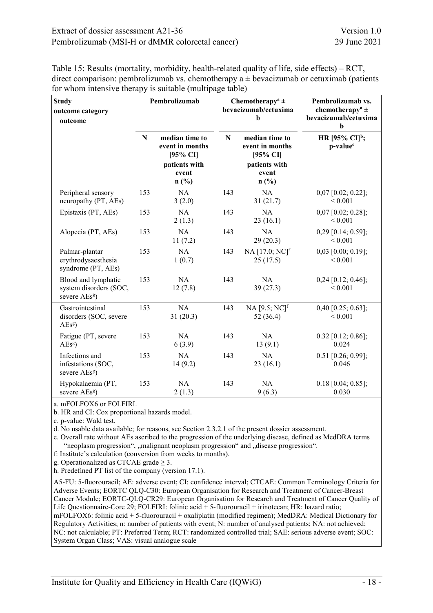| Extract of dossier assessment A21-36            | Version 1.0  |
|-------------------------------------------------|--------------|
| Pembrolizumab (MSI-H or dMMR colorectal cancer) | 29 June 2021 |

Table 15: Results (mortality, morbidity, health-related quality of life, side effects) – RCT, direct comparison: pembrolizumab vs. chemotherapy  $a \pm b$ evacizumab or cetuximab (patients for whom intensive therapy is suitable (multipage table)

| <b>Study</b><br>outcome category<br>outcome                                |     | Pembrolizumab                                                                   |     | Chemotherapy <sup>a</sup> $\pm$<br>bevacizumab/cetuxima<br>b                    | Pembrolizumab vs.<br>chemotherapy <sup>a</sup> $\pm$<br>bevacizumab/cetuxima<br>$\mathbf b$ |
|----------------------------------------------------------------------------|-----|---------------------------------------------------------------------------------|-----|---------------------------------------------------------------------------------|---------------------------------------------------------------------------------------------|
|                                                                            | N   | median time to<br>event in months<br>[95% CI]<br>patients with<br>event<br>n(%) | N   | median time to<br>event in months<br>[95% CI]<br>patients with<br>event<br>n(%) | HR [95% CI] <sup>b</sup> ;<br>p-value <sup>c</sup>                                          |
| Peripheral sensory<br>neuropathy (PT, AEs)                                 | 153 | <b>NA</b><br>3(2.0)                                                             | 143 | <b>NA</b><br>31(21.7)                                                           | $0,07$ [0.02; 0.22];<br>${}< 0.001$                                                         |
| Epistaxis (PT, AEs)                                                        | 153 | NA<br>2(1.3)                                                                    | 143 | <b>NA</b><br>23(16.1)                                                           | $0,07$ [0.02; 0.28];<br>< 0.001                                                             |
| Alopecia (PT, AEs)                                                         | 153 | <b>NA</b><br>11(7.2)                                                            | 143 | <b>NA</b><br>29(20.3)                                                           | $0,29$ [0.14; 0.59];<br>${}< 0.001$                                                         |
| Palmar-plantar<br>erythrodysaesthesia<br>syndrome (PT, AEs)                | 153 | NA<br>1(0.7)                                                                    | 143 | NA [17.0; NC] <sup>f</sup><br>25(17.5)                                          | $0,03$ [0.00; 0.19];<br>< 0.001                                                             |
| Blood and lymphatic<br>system disorders (SOC,<br>severe AEs <sup>g</sup> ) | 153 | <b>NA</b><br>12(7.8)                                                            | 143 | <b>NA</b><br>39(27.3)                                                           | $0,24$ [0.12; 0.46];<br>${}< 0.001$                                                         |
| Gastrointestinal<br>disorders (SOC, severe<br>AEs <sup>g</sup>             | 153 | NA<br>31(20.3)                                                                  | 143 | $NA [9.5; NC]$ <sup>f</sup><br>52 (36.4)                                        | $0,40$ [0.25; 0.63];<br>${}< 0.001$                                                         |
| Fatigue (PT, severe<br>AEs <sup>g</sup>                                    | 153 | <b>NA</b><br>6(3.9)                                                             | 143 | <b>NA</b><br>13(9.1)                                                            | $0.32$ [0.12; 0.86];<br>0.024                                                               |
| Infections and<br>infestations (SOC,<br>severe AEsg)                       | 153 | NA<br>14(9.2)                                                                   | 143 | <b>NA</b><br>23(16.1)                                                           | $0.51$ [0.26; 0.99];<br>0.046                                                               |
| Hypokalaemia (PT,<br>severe AEs <sup>g</sup> )                             | 153 | <b>NA</b><br>2(1.3)                                                             | 143 | <b>NA</b><br>9(6.3)                                                             | $0.18$ [0.04; 0.85];<br>0.030                                                               |

a. mFOLFOX6 or FOLFIRI.

b. HR and CI: Cox proportional hazards model.

c. p-value: Wald test.

d. No usable data available; for reasons, see Section 2.3.2.1 of the present dossier assessment.

e. Overall rate without AEs ascribed to the progression of the underlying disease, defined as MedDRA terms "neoplasm progression", "malignant neoplasm progression" and "disease progression".

f: Institute's calculation (conversion from weeks to months).

g. Operationalized as CTCAE grade  $\geq$  3.

h. Predefined PT list of the company (version 17.1).

A5-FU: 5-fluorouracil; AE: adverse event; CI: confidence interval; CTCAE: Common Terminology Criteria for Adverse Events; EORTC QLQ-C30: European Organisation for Research and Treatment of Cancer-Breast Cancer Module; EORTC-QLQ-CR29: European Organisation for Research and Treatment of Cancer Quality of Life Questionnaire-Core 29; FOLFIRI: folinic acid  $+$  5-fluorouracil + irinotecan; HR: hazard ratio; mFOLFOX6: folinic acid + 5-fluorouracil + oxaliplatin (modified regimen); MedDRA: Medical Dictionary for Regulatory Activities; n: number of patients with event; N: number of analysed patients; NA: not achieved; NC: not calculable; PT: Preferred Term; RCT: randomized controlled trial; SAE: serious adverse event; SOC: System Organ Class; VAS: visual analogue scale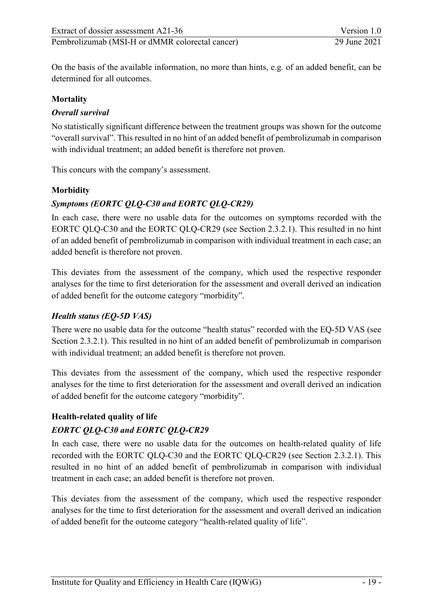On the basis of the available information, no more than hints, e.g. of an added benefit, can be determined for all outcomes.

#### **Mortality**

#### *Overall survival*

No statistically significant difference between the treatment groups was shown for the outcome "overall survival". This resulted in no hint of an added benefit of pembrolizumab in comparison with individual treatment; an added benefit is therefore not proven.

This concurs with the company's assessment.

#### **Morbidity**

# *Symptoms (EORTC QLQ-C30 and EORTC QLQ-CR29)*

In each case, there were no usable data for the outcomes on symptoms recorded with the EORTC QLQ-C30 and the EORTC QLQ-CR29 (see Section 2.3.2.1). This resulted in no hint of an added benefit of pembrolizumab in comparison with individual treatment in each case; an added benefit is therefore not proven.

This deviates from the assessment of the company, which used the respective responder analyses for the time to first deterioration for the assessment and overall derived an indication of added benefit for the outcome category "morbidity".

#### *Health status (EQ-5D VAS)*

There were no usable data for the outcome "health status" recorded with the EQ-5D VAS (see Section 2.3.2.1). This resulted in no hint of an added benefit of pembrolizumab in comparison with individual treatment; an added benefit is therefore not proven.

This deviates from the assessment of the company, which used the respective responder analyses for the time to first deterioration for the assessment and overall derived an indication of added benefit for the outcome category "morbidity".

#### **Health-related quality of life**

#### *EORTC QLQ-C30 and EORTC QLQ-CR29*

In each case, there were no usable data for the outcomes on health-related quality of life recorded with the EORTC QLQ-C30 and the EORTC QLQ-CR29 (see Section 2.3.2.1). This resulted in no hint of an added benefit of pembrolizumab in comparison with individual treatment in each case; an added benefit is therefore not proven.

This deviates from the assessment of the company, which used the respective responder analyses for the time to first deterioration for the assessment and overall derived an indication of added benefit for the outcome category "health-related quality of life".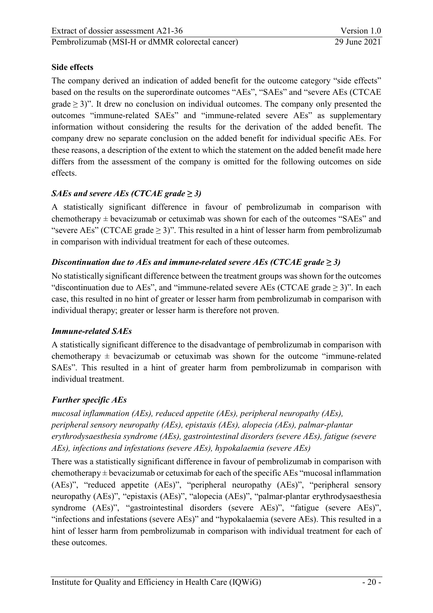# **Side effects**

The company derived an indication of added benefit for the outcome category "side effects" based on the results on the superordinate outcomes "AEs", "SAEs" and "severe AEs (CTCAE grade  $\geq$  3)". It drew no conclusion on individual outcomes. The company only presented the outcomes "immune-related SAEs" and "immune-related severe AEs" as supplementary information without considering the results for the derivation of the added benefit. The company drew no separate conclusion on the added benefit for individual specific AEs. For these reasons, a description of the extent to which the statement on the added benefit made here differs from the assessment of the company is omitted for the following outcomes on side effects.

# *SAEs and severe AEs (CTCAE grade*  $\geq$  *3)*

A statistically significant difference in favour of pembrolizumab in comparison with chemotherapy  $\pm$  bevacizumab or cetuximab was shown for each of the outcomes "SAEs" and "severe AEs" (CTCAE grade  $\geq$  3)". This resulted in a hint of lesser harm from pembrolizumab in comparison with individual treatment for each of these outcomes.

# *Discontinuation due to AEs and immune-related severe AEs (CTCAE grade*  $\geq$  *3)*

No statistically significant difference between the treatment groups was shown for the outcomes "discontinuation due to AEs", and "immune-related severe AEs (CTCAE grade  $\geq$  3)". In each case, this resulted in no hint of greater or lesser harm from pembrolizumab in comparison with individual therapy; greater or lesser harm is therefore not proven.

#### *Immune-related SAEs*

A statistically significant difference to the disadvantage of pembrolizumab in comparison with chemotherapy  $\pm$  bevacizumab or cetuximab was shown for the outcome "immune-related" SAEs". This resulted in a hint of greater harm from pembrolizumab in comparison with individual treatment.

# *Further specific AEs*

*mucosal inflammation (AEs), reduced appetite (AEs), peripheral neuropathy (AEs), peripheral sensory neuropathy (AEs), epistaxis (AEs), alopecia (AEs), palmar-plantar erythrodysaesthesia syndrome (AEs), gastrointestinal disorders (severe AEs), fatigue (severe AEs), infections and infestations (severe AEs), hypokalaemia (severe AEs)* 

There was a statistically significant difference in favour of pembrolizumab in comparison with chemotherapy  $\pm$  bevacizumab or cetuximab for each of the specific AEs "mucosal inflammation (AEs)", "reduced appetite (AEs)", "peripheral neuropathy (AEs)", "peripheral sensory neuropathy (AEs)", "epistaxis (AEs)", "alopecia (AEs)", "palmar-plantar erythrodysaesthesia syndrome (AEs)", "gastrointestinal disorders (severe AEs)", "fatigue (severe AEs)", "infections and infestations (severe AEs)" and "hypokalaemia (severe AEs). This resulted in a hint of lesser harm from pembrolizumab in comparison with individual treatment for each of these outcomes.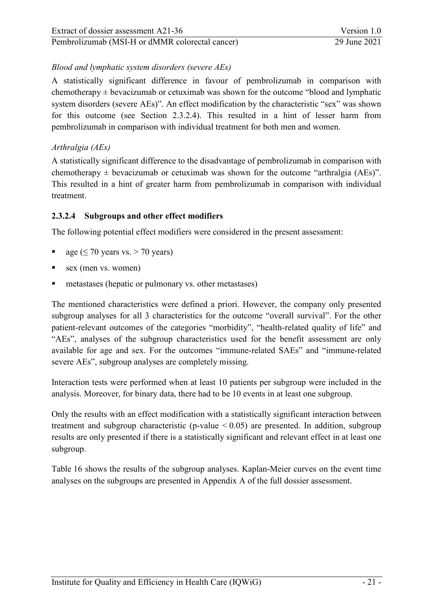#### *Blood and lymphatic system disorders (severe AEs)*

A statistically significant difference in favour of pembrolizumab in comparison with chemotherapy  $\pm$  bevacizumab or cetuximab was shown for the outcome "blood and lymphatic system disorders (severe AEs)". An effect modification by the characteristic "sex" was shown for this outcome (see Section [2.3.2.4\)](#page-39-0). This resulted in a hint of lesser harm from pembrolizumab in comparison with individual treatment for both men and women.

### *Arthralgia (AEs)*

A statistically significant difference to the disadvantage of pembrolizumab in comparison with chemotherapy  $\pm$  bevacizumab or cetuximab was shown for the outcome "arthralgia (AEs)". This resulted in a hint of greater harm from pembrolizumab in comparison with individual treatment.

#### <span id="page-39-0"></span>**2.3.2.4 Subgroups and other effect modifiers**

The following potential effect modifiers were considered in the present assessment:

- age ( $\leq$  70 years vs. > 70 years)
- sex (men vs. women)
- metastases (hepatic or pulmonary vs. other metastases)

The mentioned characteristics were defined a priori. However, the company only presented subgroup analyses for all 3 characteristics for the outcome "overall survival". For the other patient-relevant outcomes of the categories "morbidity", "health-related quality of life" and "AEs", analyses of the subgroup characteristics used for the benefit assessment are only available for age and sex. For the outcomes "immune-related SAEs" and "immune-related severe AEs", subgroup analyses are completely missing.

Interaction tests were performed when at least 10 patients per subgroup were included in the analysis. Moreover, for binary data, there had to be 10 events in at least one subgroup.

Only the results with an effect modification with a statistically significant interaction between treatment and subgroup characteristic (p-value < 0.05) are presented. In addition, subgroup results are only presented if there is a statistically significant and relevant effect in at least one subgroup.

[Table 16](#page-40-0) shows the results of the subgroup analyses. Kaplan-Meier curves on the event time analyses on the subgroups are presented in Appendix A of the full dossier assessment.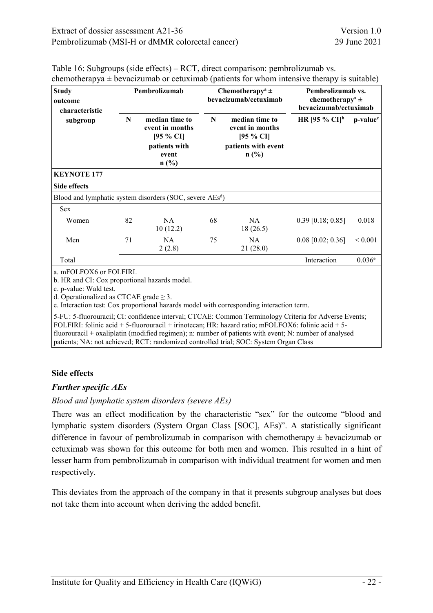| <b>Study</b><br>outcome<br>characteristic |    | Pembrolizumab                                                                          | Chemotherapy <sup>a</sup> $\pm$<br>bevacizumab/cetuximab |                                                                                     | Pembrolizumab vs.<br>chemotherapy <sup>a</sup> $\pm$<br>bevacizumab/cetuximab |                      |  |
|-------------------------------------------|----|----------------------------------------------------------------------------------------|----------------------------------------------------------|-------------------------------------------------------------------------------------|-------------------------------------------------------------------------------|----------------------|--|
| subgroup                                  | N  | median time to<br>event in months<br>$[95 \% CI]$<br>patients with<br>event<br>$n$ (%) | N                                                        | median time to<br>event in months<br>$[95 \% CI]$<br>patients with event<br>$n$ (%) | HR [95 % CI] <sup>b</sup>                                                     | p-value <sup>c</sup> |  |
| <b>KEYNOTE 177</b>                        |    |                                                                                        |                                                          |                                                                                     |                                                                               |                      |  |
| <b>Side effects</b>                       |    |                                                                                        |                                                          |                                                                                     |                                                                               |                      |  |
|                                           |    | Blood and lymphatic system disorders (SOC, severe $\text{AEs}^d$ )                     |                                                          |                                                                                     |                                                                               |                      |  |
| Sex                                       |    |                                                                                        |                                                          |                                                                                     |                                                                               |                      |  |
| Women                                     | 82 | NA<br>10(12.2)                                                                         | 68                                                       | <b>NA</b><br>18(26.5)                                                               | $0.39$ [0.18; 0.85]                                                           | 0.018                |  |
| Men                                       | 71 | <b>NA</b><br>2(2.8)                                                                    | 75                                                       | NA<br>21(28.0)                                                                      | $0.08$ [0.02; 0.36]                                                           | ${}_{0.001}$         |  |
| Total                                     |    |                                                                                        |                                                          |                                                                                     | Interaction                                                                   | 0.036 <sup>e</sup>   |  |
| a. mFOLFOX6 or FOLFIRI.                   |    |                                                                                        |                                                          |                                                                                     |                                                                               |                      |  |

<span id="page-40-0"></span>Table 16: Subgroups (side effects) – RCT, direct comparison: pembrolizumab vs. chemotherapya  $\pm$  bevacizumab or cetuximab (patients for whom intensive therapy is suitable)

b. HR and CI: Cox proportional hazards model.

c. p-value: Wald test.

d. Operationalized as CTCAE grade  $\geq$  3.

e. Interaction test: Cox proportional hazards model with corresponding interaction term.

5-FU: 5-fluorouracil; CI: confidence interval; CTCAE: Common Terminology Criteria for Adverse Events; FOLFIRI: folinic acid + 5-fluorouracil + irinotecan; HR: hazard ratio; mFOLFOX6: folinic acid + 5 fluorouracil + oxaliplatin (modified regimen); n: number of patients with event; N: number of analysed patients; NA: not achieved; RCT: randomized controlled trial; SOC: System Organ Class

#### **Side effects**

#### *Further specific AEs*

*Blood and lymphatic system disorders (severe AEs)* 

There was an effect modification by the characteristic "sex" for the outcome "blood and lymphatic system disorders (System Organ Class [SOC], AEs)". A statistically significant difference in favour of pembrolizumab in comparison with chemotherapy  $\pm$  bevacizumab or cetuximab was shown for this outcome for both men and women. This resulted in a hint of lesser harm from pembrolizumab in comparison with individual treatment for women and men respectively.

This deviates from the approach of the company in that it presents subgroup analyses but does not take them into account when deriving the added benefit.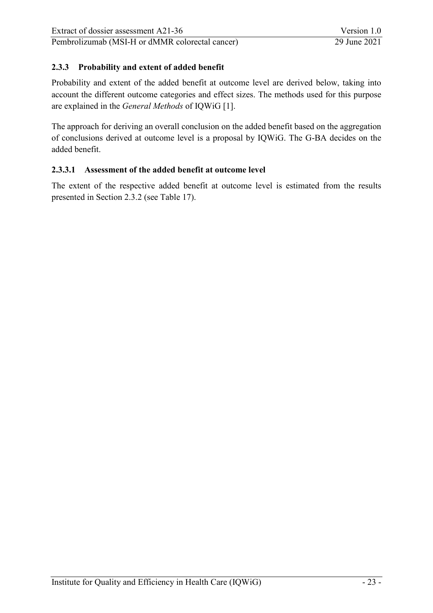### <span id="page-41-0"></span>**2.3.3 Probability and extent of added benefit**

Probability and extent of the added benefit at outcome level are derived below, taking into account the different outcome categories and effect sizes. The methods used for this purpose are explained in the *General Methods* of IQWiG [\[1\]](#page-49-13).

The approach for deriving an overall conclusion on the added benefit based on the aggregation of conclusions derived at outcome level is a proposal by IQWiG. The G-BA decides on the added benefit.

#### <span id="page-41-1"></span>**2.3.3.1 Assessment of the added benefit at outcome level**

The extent of the respective added benefit at outcome level is estimated from the results presented in Section [2.3.2](#page-29-0) (see [Table 17\)](#page-42-0).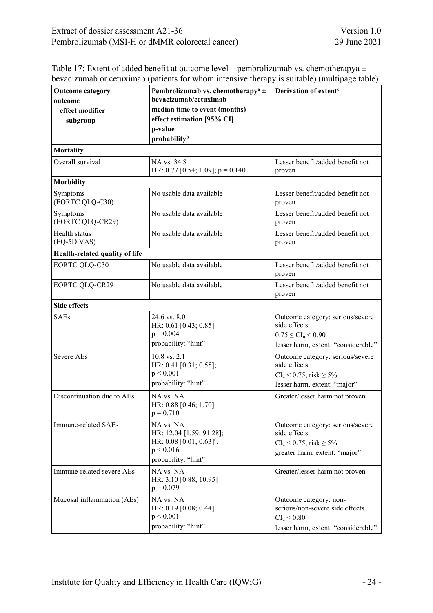| Extract of dossier assessment A21-36            | Version 1.0  |
|-------------------------------------------------|--------------|
| Pembrolizumab (MSI-H or dMMR colorectal cancer) | 29 June 2021 |

<span id="page-42-0"></span>

| bevacizumab or cetuximab (patients for whom intensive therapy is suitable) (multipage table) | Table 17: Extent of added benefit at outcome level – pembrolizumab vs. chemotherapya $\pm$ |  |
|----------------------------------------------------------------------------------------------|--------------------------------------------------------------------------------------------|--|
|                                                                                              |                                                                                            |  |

| <b>Outcome category</b>        | Pembrolizumab vs. chemotherapy <sup>a</sup> $\pm$                                                                      | Derivation of extent <sup>c</sup>                                                                                           |
|--------------------------------|------------------------------------------------------------------------------------------------------------------------|-----------------------------------------------------------------------------------------------------------------------------|
| outcome                        | bevacizumab/cetuximab                                                                                                  |                                                                                                                             |
| effect modifier                | median time to event (months)                                                                                          |                                                                                                                             |
| subgroup                       | effect estimation [95% CI]                                                                                             |                                                                                                                             |
|                                | p-value                                                                                                                |                                                                                                                             |
|                                | probability <sup>b</sup>                                                                                               |                                                                                                                             |
| <b>Mortality</b>               |                                                                                                                        |                                                                                                                             |
| Overall survival               | NA vs. 34.8<br>HR: 0.77 [0.54; 1.09]; $p = 0.140$                                                                      | Lesser benefit/added benefit not<br>proven                                                                                  |
| <b>Morbidity</b>               |                                                                                                                        |                                                                                                                             |
| Symptoms<br>(EORTC QLQ-C30)    | No usable data available                                                                                               | Lesser benefit/added benefit not<br>proven                                                                                  |
| Symptoms<br>(EORTC QLQ-CR29)   | No usable data available                                                                                               | Lesser benefit/added benefit not<br>proven                                                                                  |
| Health status<br>(EQ-5D VAS)   | No usable data available                                                                                               | Lesser benefit/added benefit not<br>proven                                                                                  |
| Health-related quality of life |                                                                                                                        |                                                                                                                             |
| <b>EORTC QLQ-C30</b>           | No usable data available                                                                                               | Lesser benefit/added benefit not<br>proven                                                                                  |
| <b>EORTC QLQ-CR29</b>          | No usable data available                                                                                               | Lesser benefit/added benefit not<br>proven                                                                                  |
| <b>Side effects</b>            |                                                                                                                        |                                                                                                                             |
| <b>SAEs</b>                    | 24.6 vs. 8.0<br>HR: 0.61 [0.43; 0.85]<br>$p = 0.004$<br>probability: "hint"                                            | Outcome category: serious/severe<br>side effects<br>$0.75 \leq CI_{u} \leq 0.90$<br>lesser harm, extent: "considerable"     |
| Severe AEs                     | 10.8 vs. 2.1<br>HR: 0.41 [0.31; 0.55];<br>p < 0.001<br>probability: "hint"                                             | Outcome category: serious/severe<br>side effects<br>$CI_{u} < 0.75$ , risk $\geq 5\%$<br>lesser harm, extent: "major"       |
| Discontinuation due to AEs     | NA vs. NA<br>HR: 0.88 [0.46; 1.70]<br>$p = 0.710$                                                                      | Greater/lesser harm not proven                                                                                              |
| Immune-related SAEs            | NA vs. NA<br>HR: 12.04 [1.59; 91.28];<br>HR: $0.08$ [0.01; $0.63$ ] <sup>d</sup> ;<br>p < 0.016<br>probability: "hint" | Outcome category: serious/severe<br>side effects<br>$CI_{u} < 0.75$ , risk $\geq 5\%$<br>greater harm, extent: "major"      |
| Immune-related severe AEs      | NA vs. NA<br>HR: 3.10 [0.88; 10.95]<br>$p = 0.079$                                                                     | Greater/lesser harm not proven                                                                                              |
| Mucosal inflammation (AEs)     | NA vs. NA<br>HR: 0.19 [0.08; 0.44]<br>p < 0.001<br>probability: "hint"                                                 | Outcome category: non-<br>serious/non-severe side effects<br>$\rm{CI}_u \,{<}\,0.80$<br>lesser harm, extent: "considerable" |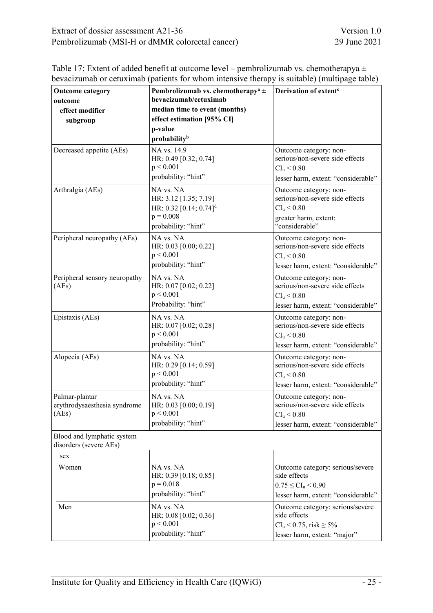| Extract of dossier assessment A21-36            | Version 1.0  |
|-------------------------------------------------|--------------|
| Pembrolizumab (MSI-H or dMMR colorectal cancer) | 29 June 2021 |

|                                                      | — г                                                                        |                                     |
|------------------------------------------------------|----------------------------------------------------------------------------|-------------------------------------|
| <b>Outcome category</b><br>outcome                   | Pembrolizumab vs. chemotherapy <sup>a</sup> $\pm$<br>bevacizumab/cetuximab | Derivation of extent <sup>c</sup>   |
| effect modifier                                      | median time to event (months)                                              |                                     |
| subgroup                                             | effect estimation [95% CI]                                                 |                                     |
|                                                      | p-value                                                                    |                                     |
|                                                      | probability <sup>b</sup>                                                   |                                     |
| Decreased appetite (AEs)                             | NA vs. 14.9                                                                | Outcome category: non-              |
|                                                      | HR: 0.49 [0.32; 0.74]                                                      | serious/non-severe side effects     |
|                                                      | p < 0.001                                                                  | CI <sub>u</sub> < 0.80              |
|                                                      | probability: "hint"                                                        | lesser harm, extent: "considerable" |
| Arthralgia (AEs)                                     | NA vs. NA                                                                  | Outcome category: non-              |
|                                                      | HR: 3.12 [1.35; 7.19]                                                      | serious/non-severe side effects     |
|                                                      | HR: 0.32 [0.14; 0.74] <sup>d</sup>                                         | $CI_{u} < 0.80$                     |
|                                                      | $p = 0.008$                                                                | greater harm, extent:               |
|                                                      | probability: "hint"                                                        | "considerable"                      |
| Peripheral neuropathy (AEs)                          | NA vs. NA                                                                  | Outcome category: non-              |
|                                                      | HR: 0.03 [0.00; 0.22]                                                      | serious/non-severe side effects     |
|                                                      | p < 0.001                                                                  | $CI_u < 0.80$                       |
|                                                      | probability: "hint"                                                        | lesser harm, extent: "considerable" |
| Peripheral sensory neuropathy                        | NA vs. NA                                                                  | Outcome category: non-              |
| (AEs)                                                | HR: 0.07 [0.02; 0.22]                                                      | serious/non-severe side effects     |
|                                                      | p < 0.001                                                                  | $CI_{u} < 0.80$                     |
|                                                      | Probability: "hint"                                                        | lesser harm, extent: "considerable" |
| Epistaxis (AEs)                                      | NA vs. NA                                                                  | Outcome category: non-              |
|                                                      | HR: 0.07 [0.02; 0.28]                                                      | serious/non-severe side effects     |
|                                                      | p < 0.001                                                                  | $CI_{u} < 0.80$                     |
|                                                      | probability: "hint"                                                        | lesser harm, extent: "considerable" |
| Alopecia (AEs)                                       | NA vs. NA                                                                  | Outcome category: non-              |
|                                                      | HR: 0.29 [0.14; 0.59]                                                      | serious/non-severe side effects     |
|                                                      | p < 0.001                                                                  | CI <sub>u</sub> < 0.80              |
|                                                      | probability: "hint"                                                        | lesser harm, extent: "considerable" |
| Palmar-plantar                                       | NA vs. NA                                                                  | Outcome category: non-              |
| erythrodysaesthesia syndrome                         | HR: 0.03 [0.00; 0.19]                                                      | serious/non-severe side effects     |
| (AEs)                                                | p < 0.001                                                                  | $CI_u < 0.80$                       |
|                                                      | probability: "hint"                                                        | lesser harm, extent: "considerable" |
| Blood and lymphatic system<br>disorders (severe AEs) |                                                                            |                                     |
| sex                                                  |                                                                            |                                     |
| Women                                                | NA vs. NA                                                                  | Outcome category: serious/severe    |
|                                                      | HR: 0.39 [0.18; 0.85]                                                      | side effects                        |
|                                                      | $p = 0.018$                                                                | $0.75 \leq CI_{u} \leq 0.90$        |
|                                                      | probability: "hint"                                                        | lesser harm, extent: "considerable" |
| Men                                                  | NA vs. NA                                                                  | Outcome category: serious/severe    |
|                                                      | HR: 0.08 [0.02; 0.36]                                                      | side effects                        |
|                                                      | p < 0.001                                                                  | $CI_u < 0.75$ , risk $\geq 5\%$     |
|                                                      | probability: "hint"                                                        | lesser harm, extent: "major"        |
|                                                      |                                                                            |                                     |

| Table 17: Extent of added benefit at outcome level – pembrolizumab vs. chemotherapya $\pm$   |
|----------------------------------------------------------------------------------------------|
| bevacizumab or cetuximab (patients for whom intensive therapy is suitable) (multipage table) |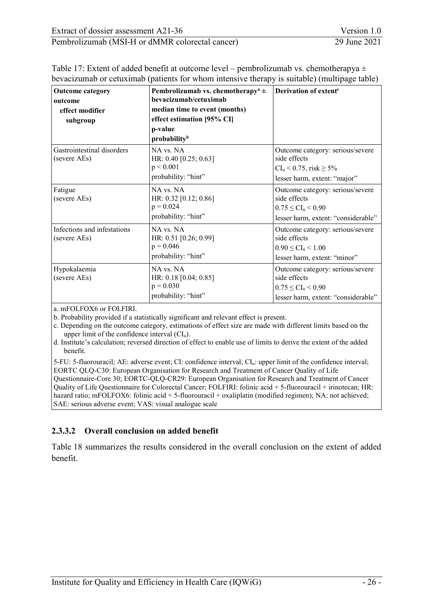| Extract of dossier assessment A21-36            | Version 1.0  |
|-------------------------------------------------|--------------|
| Pembrolizumab (MSI-H or dMMR colorectal cancer) | 29 June 2021 |

| <b>Outcome category</b><br>outcome<br>effect modifier<br>subgroup | Pembrolizumab vs. chemotherapy <sup>a</sup> $\pm$<br>bevacizumab/cetuximab<br>median time to event (months)<br>effect estimation [95% CI]<br>p-value<br>probability <sup>b</sup> | Derivation of extent <sup>c</sup>                                                                                       |
|-------------------------------------------------------------------|----------------------------------------------------------------------------------------------------------------------------------------------------------------------------------|-------------------------------------------------------------------------------------------------------------------------|
| Gastrointestinal disorders<br>(severe AEs)                        | NA vs. NA<br>HR: 0.40 [0.25; 0.63]<br>p < 0.001<br>probability: "hint"                                                                                                           | Outcome category: serious/severe<br>side effects<br>$CI_{u} < 0.75$ , risk $\geq 5\%$<br>lesser harm, extent: "major"   |
| Fatigue<br>(severe AEs)                                           | NA vs. NA<br>HR: 0.32 [0.12; 0.86]<br>$p = 0.024$<br>probability: "hint"                                                                                                         | Outcome category: serious/severe<br>side effects<br>$0.75 \leq CI_{u} \leq 0.90$<br>lesser harm, extent: "considerable" |
| Infections and infestations<br>(severe AEs)                       | NA vs. NA<br>HR: 0.51 [0.26; 0.99]<br>$p = 0.046$<br>probability: "hint"                                                                                                         | Outcome category: serious/severe<br>side effects<br>$0.90 \leq CL_{u} \leq 1.00$<br>lesser harm, extent: "minor"        |
| Hypokalaemia<br>(severe AEs)                                      | NA vs. NA<br>HR: 0.18 [0.04; 0.85]<br>$p = 0.030$<br>probability: "hint"                                                                                                         | Outcome category: serious/severe<br>side effects<br>$0.75 \leq CI_{u} \leq 0.90$<br>lesser harm, extent: "considerable" |

Table 17: Extent of added benefit at outcome level – pembrolizumab vs. chemotherapya ± bevacizumab or cetuximab (patients for whom intensive therapy is suitable) (multipage table)

a. mFOLFOX6 or FOLFIRI.

b. Probability provided if a statistically significant and relevant effect is present.

c. Depending on the outcome category, estimations of effect size are made with different limits based on the upper limit of the confidence interval  $(Cl<sub>u</sub>)$ .

d. Institute's calculation; reversed direction of effect to enable use of limits to derive the extent of the added benefit.

5-FU: 5-fluorouracil; AE: adverse event; CI: confidence interval; CIu: upper limit of the confidence interval; EORTC QLQ-C30: European Organisation for Research and Treatment of Cancer Quality of Life Questionnaire-Core 30; EORTC-QLQ-CR29: European Organisation for Research and Treatment of Cancer Quality of Life Questionnaire for Colorectal Cancer; FOLFIRI: folinic acid + 5-fluorouracil + irinotecan; HR: hazard ratio; mFOLFOX6: folinic acid + 5-fluorouracil + oxaliplatin (modified regimen); NA: not achieved; SAE: serious adverse event; VAS: visual analogue scale

#### <span id="page-44-0"></span>**2.3.3.2 Overall conclusion on added benefit**

[Table 18](#page-45-0) summarizes the results considered in the overall conclusion on the extent of added benefit.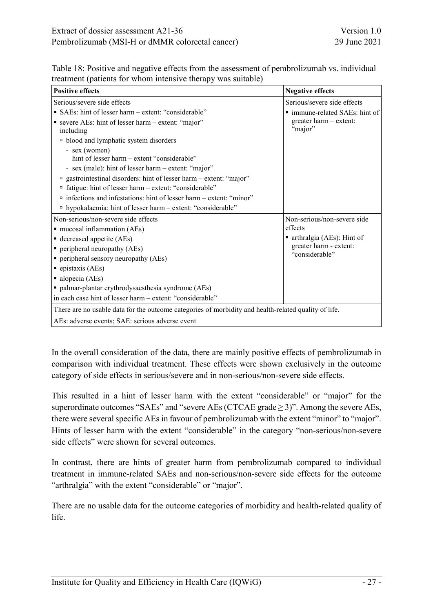<span id="page-45-0"></span>

| Table 18: Positive and negative effects from the assessment of pembrolizumab vs. individual |  |
|---------------------------------------------------------------------------------------------|--|
| treatment (patients for whom intensive therapy was suitable)                                |  |

| <b>Positive effects</b>                                                                                                                                                                                                                                                                                                                                                                                                                                                                                           | <b>Negative effects</b>                                                                                           |  |  |
|-------------------------------------------------------------------------------------------------------------------------------------------------------------------------------------------------------------------------------------------------------------------------------------------------------------------------------------------------------------------------------------------------------------------------------------------------------------------------------------------------------------------|-------------------------------------------------------------------------------------------------------------------|--|--|
| Serious/severe side effects                                                                                                                                                                                                                                                                                                                                                                                                                                                                                       | Serious/severe side effects                                                                                       |  |  |
| • SAEs: hint of lesser harm – extent: "considerable"<br>■ severe AEs: hint of lesser harm – extent: "major"<br>including<br><sup>n</sup> blood and lymphatic system disorders<br>- sex (women)<br>hint of lesser harm – extent "considerable"<br>- sex (male): hint of lesser harm – extent: "major"<br>" gastrointestinal disorders: hint of lesser harm - extent: "major"<br>fatigue: hint of lesser harm - extent: "considerable"<br>α<br>□ infections and infestations: hint of lesser harm – extent: "minor" | ■ immune-related SAEs: hint of<br>$greater harm - extent:"major"$                                                 |  |  |
| " hypokalaemia: hint of lesser harm – extent: "considerable"                                                                                                                                                                                                                                                                                                                                                                                                                                                      |                                                                                                                   |  |  |
| Non-serious/non-severe side effects<br>mucosal inflammation (AEs)<br>■ decreased appetite (AEs)<br>$\blacksquare$ peripheral neuropathy (AEs)<br>peripheral sensory neuropathy (AEs)<br>$\blacksquare$ epistaxis (AEs)<br>alopecia (AEs)<br>palmar-plantar erythrodysaesthesia syndrome (AEs)<br>in each case hint of lesser harm – extent: "considerable"                                                                                                                                                        | Non-serious/non-severe side<br>effects<br>■ arthralgia (AEs): Hint of<br>greater harm - extent:<br>"considerable" |  |  |
| There are no usable data for the outcome categories of morbidity and health-related quality of life.                                                                                                                                                                                                                                                                                                                                                                                                              |                                                                                                                   |  |  |
| AEs: adverse events; SAE: serious adverse event                                                                                                                                                                                                                                                                                                                                                                                                                                                                   |                                                                                                                   |  |  |

In the overall consideration of the data, there are mainly positive effects of pembrolizumab in comparison with individual treatment. These effects were shown exclusively in the outcome category of side effects in serious/severe and in non-serious/non-severe side effects.

This resulted in a hint of lesser harm with the extent "considerable" or "major" for the superordinate outcomes "SAEs" and "severe AEs (CTCAE grade  $\geq$  3)". Among the severe AEs, there were several specific AEs in favour of pembrolizumab with the extent "minor" to "major". Hints of lesser harm with the extent "considerable" in the category "non-serious/non-severe side effects" were shown for several outcomes.

In contrast, there are hints of greater harm from pembrolizumab compared to individual treatment in immune-related SAEs and non-serious/non-severe side effects for the outcome "arthralgia" with the extent "considerable" or "major".

There are no usable data for the outcome categories of morbidity and health-related quality of life.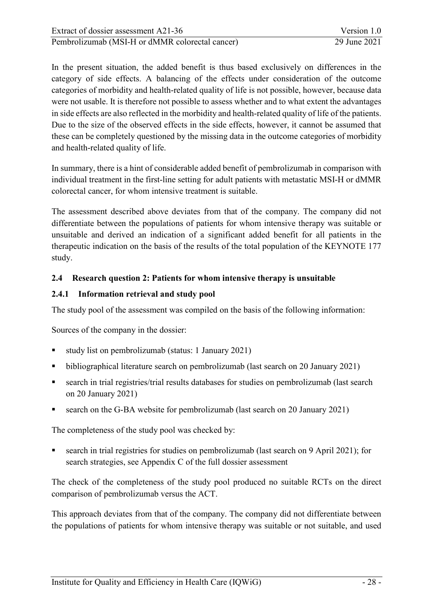In the present situation, the added benefit is thus based exclusively on differences in the category of side effects. A balancing of the effects under consideration of the outcome categories of morbidity and health-related quality of life is not possible, however, because data were not usable. It is therefore not possible to assess whether and to what extent the advantages in side effects are also reflected in the morbidity and health-related quality of life of the patients. Due to the size of the observed effects in the side effects, however, it cannot be assumed that these can be completely questioned by the missing data in the outcome categories of morbidity and health-related quality of life.

In summary, there is a hint of considerable added benefit of pembrolizumab in comparison with individual treatment in the first-line setting for adult patients with metastatic MSI-H or dMMR colorectal cancer, for whom intensive treatment is suitable.

The assessment described above deviates from that of the company. The company did not differentiate between the populations of patients for whom intensive therapy was suitable or unsuitable and derived an indication of a significant added benefit for all patients in the therapeutic indication on the basis of the results of the total population of the KEYNOTE 177 study.

#### <span id="page-46-0"></span>**2.4 Research question 2: Patients for whom intensive therapy is unsuitable**

# <span id="page-46-1"></span>**2.4.1 Information retrieval and study pool**

The study pool of the assessment was compiled on the basis of the following information:

Sources of the company in the dossier:

- study list on pembrolizumab (status: 1 January 2021)
- bibliographical literature search on pembrolizumab (last search on 20 January 2021)
- search in trial registries/trial results databases for studies on pembrolizumab (last search on 20 January 2021)
- search on the G-BA website for pembrolizumab (last search on 20 January 2021)

The completeness of the study pool was checked by:

 search in trial registries for studies on pembrolizumab (last search on 9 April 2021); for search strategies, see Appendix C of the full dossier assessment

The check of the completeness of the study pool produced no suitable RCTs on the direct comparison of pembrolizumab versus the ACT.

This approach deviates from that of the company. The company did not differentiate between the populations of patients for whom intensive therapy was suitable or not suitable, and used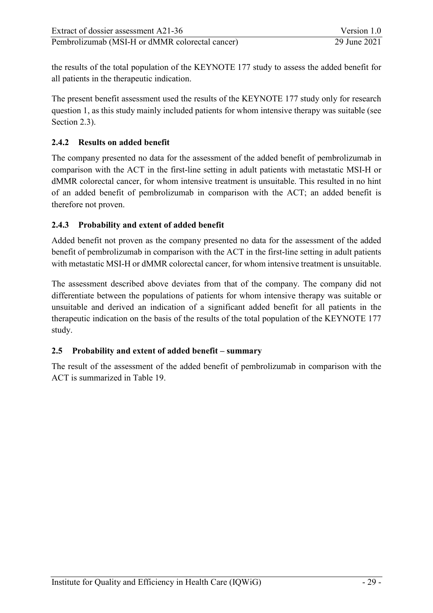the results of the total population of the KEYNOTE 177 study to assess the added benefit for all patients in the therapeutic indication.

The present benefit assessment used the results of the KEYNOTE 177 study only for research question 1, as this study mainly included patients for whom intensive therapy was suitable (see Section [2.3\)](#page-16-0).

### <span id="page-47-0"></span>**2.4.2 Results on added benefit**

The company presented no data for the assessment of the added benefit of pembrolizumab in comparison with the ACT in the first-line setting in adult patients with metastatic MSI-H or dMMR colorectal cancer, for whom intensive treatment is unsuitable. This resulted in no hint of an added benefit of pembrolizumab in comparison with the ACT; an added benefit is therefore not proven.

# <span id="page-47-1"></span>**2.4.3 Probability and extent of added benefit**

Added benefit not proven as the company presented no data for the assessment of the added benefit of pembrolizumab in comparison with the ACT in the first-line setting in adult patients with metastatic MSI-H or dMMR colorectal cancer, for whom intensive treatment is unsuitable.

The assessment described above deviates from that of the company. The company did not differentiate between the populations of patients for whom intensive therapy was suitable or unsuitable and derived an indication of a significant added benefit for all patients in the therapeutic indication on the basis of the results of the total population of the KEYNOTE 177 study.

#### <span id="page-47-2"></span>**2.5 Probability and extent of added benefit – summary**

The result of the assessment of the added benefit of pembrolizumab in comparison with the ACT is summarized in [Table 19.](#page-48-0)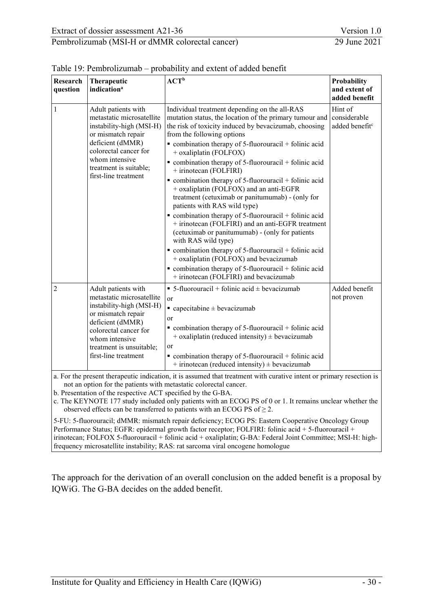| Research<br>question                                                                                                                                                                                                                                      | Therapeutic<br>indication <sup>a</sup>                                                                                                                                                                                | ${ACT}^b$                                                                                                                                                                                                                                                                                                                                                                                                                                                                                                                                                                                                                                                                                                                                                                                                                                                                                                                                                                                                         | Probability<br>and extent of<br>added benefit         |  |
|-----------------------------------------------------------------------------------------------------------------------------------------------------------------------------------------------------------------------------------------------------------|-----------------------------------------------------------------------------------------------------------------------------------------------------------------------------------------------------------------------|-------------------------------------------------------------------------------------------------------------------------------------------------------------------------------------------------------------------------------------------------------------------------------------------------------------------------------------------------------------------------------------------------------------------------------------------------------------------------------------------------------------------------------------------------------------------------------------------------------------------------------------------------------------------------------------------------------------------------------------------------------------------------------------------------------------------------------------------------------------------------------------------------------------------------------------------------------------------------------------------------------------------|-------------------------------------------------------|--|
| 1                                                                                                                                                                                                                                                         | Adult patients with<br>metastatic microsatellite<br>instability-high (MSI-H)<br>or mismatch repair<br>deficient (dMMR)<br>colorectal cancer for<br>whom intensive<br>treatment is suitable;<br>first-line treatment   | Individual treatment depending on the all-RAS<br>mutation status, the location of the primary tumour and<br>the risk of toxicity induced by bevacizumab, choosing<br>from the following options<br>$\bullet$ combination therapy of 5-fluorouracil + folinic acid<br>+ oxaliplatin (FOLFOX)<br>$\bullet$ combination therapy of 5-fluorouracil + folinic acid<br>+ irinotecan (FOLFIRI)<br>$\bullet$ combination therapy of 5-fluorouracil + folinic acid<br>+ oxaliplatin (FOLFOX) and an anti-EGFR<br>treatment (cetuximab or panitumumab) - (only for<br>patients with RAS wild type)<br>$\bullet$ combination therapy of 5-fluorouracil + folinic acid<br>+ irinotecan (FOLFIRI) and an anti-EGFR treatment<br>(cetuximab or panitumumab) - (only for patients<br>with RAS wild type)<br>$\bullet$ combination therapy of 5-fluorouracil + folinic acid<br>+ oxaliplatin (FOLFOX) and bevacizumab<br>$\bullet$ combination therapy of 5-fluorouracil + folinic acid<br>+ irinotecan (FOLFIRI) and bevacizumab | Hint of<br>considerable<br>added benefit <sup>c</sup> |  |
| 2                                                                                                                                                                                                                                                         | Adult patients with<br>metastatic microsatellite<br>instability-high (MSI-H)<br>or mismatch repair<br>deficient (dMMR)<br>colorectal cancer for<br>whom intensive<br>treatment is unsuitable;<br>first-line treatment | $\bullet$ 5-fluorouracil + folinic acid $\pm$ bevacizumab<br>or<br>$\blacksquare$ capecitabine $\pm$ bevacizumab<br>or<br>$\bullet$ combination therapy of 5-fluorouracil + folinic acid<br>$+$ oxaliplatin (reduced intensity) $\pm$ bevacizumab<br>or<br>$\bullet$ combination therapy of 5-fluorouracil + folinic acid<br>$+$ irinotecan (reduced intensity) $\pm$ bevacizumab                                                                                                                                                                                                                                                                                                                                                                                                                                                                                                                                                                                                                                 | Added benefit<br>not proven                           |  |
| a. For the present therapeutic indication, it is assumed that treatment with curative intent or primary resection is<br>not an option for the patients with metastatic colorectal cancer.<br>b. Presentation of the respective ACT specified by the G-BA. |                                                                                                                                                                                                                       |                                                                                                                                                                                                                                                                                                                                                                                                                                                                                                                                                                                                                                                                                                                                                                                                                                                                                                                                                                                                                   |                                                       |  |

<span id="page-48-0"></span>

b. Presentation of the respective ACT specified by the G-BA.

c. The KEYNOTE 177 study included only patients with an ECOG PS of 0 or 1. It remains unclear whether the observed effects can be transferred to patients with an ECOG PS of  $\geq$  2.

5-FU: 5-fluorouracil; dMMR: mismatch repair deficiency; ECOG PS: Eastern Cooperative Oncology Group Performance Status; EGFR: epidermal growth factor receptor; FOLFIRI: folinic acid + 5-fluorouracil + irinotecan; FOLFOX 5-fluorouracil + folinic acid + oxaliplatin; G-BA: Federal Joint Committee; MSI-H: highfrequency microsatellite instability; RAS: rat sarcoma viral oncogene homologue

The approach for the derivation of an overall conclusion on the added benefit is a proposal by IQWiG. The G-BA decides on the added benefit.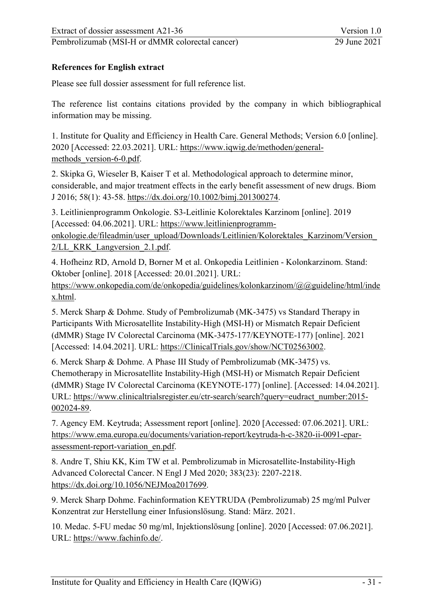Pembrolizumab [\(MSI-H or dMMR colorectal cancer\)](#page-0-1) 29 June 2021

#### <span id="page-49-0"></span>**References for English extract**

Please see full dossier assessment for full reference list.

The reference list contains citations provided by the company in which bibliographical information may be missing.

<span id="page-49-13"></span><span id="page-49-1"></span>1. Institute for Quality and Efficiency in Health Care. General Methods; Version 6.0 [online]. 2020 [Accessed: 22.03.2021]. URL: [https://www.iqwig.de/methoden/general](https://www.iqwig.de/methoden/general-methods_version-6-0.pdf)methods version-6-0.pdf.

<span id="page-49-2"></span>2. Skipka G, Wieseler B, Kaiser T et al. Methodological approach to determine minor, considerable, and major treatment effects in the early benefit assessment of new drugs. Biom J 2016; 58(1): 43-58. [https://dx.doi.org/10.1002/bimj.201300274.](https://dx.doi.org/10.1002/bimj.201300274)

<span id="page-49-10"></span><span id="page-49-3"></span>3. Leitlinienprogramm Onkologie. S3-Leitlinie Kolorektales Karzinom [online]. 2019 [Accessed: 04.06.2021]. URL: [https://www.leitlinienprogramm](https://www.leitlinienprogramm-onkologie.de/fileadmin/user_upload/Downloads/Leitlinien/Kolorektales_Karzinom/Version_2/LL_KRK_Langversion_2.1.pdf)[onkologie.de/fileadmin/user\\_upload/Downloads/Leitlinien/Kolorektales\\_Karzinom/Version\\_](https://www.leitlinienprogramm-onkologie.de/fileadmin/user_upload/Downloads/Leitlinien/Kolorektales_Karzinom/Version_2/LL_KRK_Langversion_2.1.pdf) 2/LL KRK Langversion 2.1.pdf.

<span id="page-49-11"></span><span id="page-49-4"></span>4. Hofheinz RD, Arnold D, Borner M et al. Onkopedia Leitlinien - Kolonkarzinom. Stand: Oktober [online]. 2018 [Accessed: 20.01.2021]. URL:

[https://www.onkopedia.com/de/onkopedia/guidelines/kolonkarzinom/@@guideline/html/inde](https://www.onkopedia.com/de/onkopedia/guidelines/kolonkarzinom/@@guideline/html/index.html) [x.html.](https://www.onkopedia.com/de/onkopedia/guidelines/kolonkarzinom/@@guideline/html/index.html)

<span id="page-49-5"></span>5. Merck Sharp & Dohme. Study of Pembrolizumab (MK-3475) vs Standard Therapy in Participants With Microsatellite Instability-High (MSI-H) or Mismatch Repair Deficient (dMMR) Stage IV Colorectal Carcinoma (MK-3475-177/KEYNOTE-177) [online]. 2021 [Accessed: 14.04.2021]. URL: [https://ClinicalTrials.gov/show/NCT02563002.](https://clinicaltrials.gov/show/NCT02563002)

<span id="page-49-6"></span>6. Merck Sharp & Dohme. A Phase III Study of Pembrolizumab (MK-3475) vs. Chemotherapy in Microsatellite Instability-High (MSI-H) or Mismatch Repair Deficient (dMMR) Stage IV Colorectal Carcinoma (KEYNOTE-177) [online]. [Accessed: 14.04.2021]. URL: [https://www.clinicaltrialsregister.eu/ctr-search/search?query=eudract\\_number:2015-](https://www.clinicaltrialsregister.eu/ctr-search/search?query=eudract_number:2015-002024-89) [002024-89.](https://www.clinicaltrialsregister.eu/ctr-search/search?query=eudract_number:2015-002024-89)

<span id="page-49-12"></span><span id="page-49-7"></span>7. Agency EM. Keytruda; Assessment report [online]. 2020 [Accessed: 07.06.2021]. URL: [https://www.ema.europa.eu/documents/variation-report/keytruda-h-c-3820-ii-0091-epar](https://www.ema.europa.eu/documents/variation-report/keytruda-h-c-3820-ii-0091-epar-assessment-report-variation_en.pdf)[assessment-report-variation\\_en.pdf.](https://www.ema.europa.eu/documents/variation-report/keytruda-h-c-3820-ii-0091-epar-assessment-report-variation_en.pdf)

<span id="page-49-8"></span>8. Andre T, Shiu KK, Kim TW et al. Pembrolizumab in Microsatellite-Instability-High Advanced Colorectal Cancer. N Engl J Med 2020; 383(23): 2207-2218. [https://dx.doi.org/10.1056/NEJMoa2017699.](https://dx.doi.org/10.1056/NEJMoa2017699)

<span id="page-49-9"></span>9. Merck Sharp Dohme. Fachinformation KEYTRUDA (Pembrolizumab) 25 mg/ml Pulver Konzentrat zur Herstellung einer Infusionslösung. Stand: März. 2021.

10. Medac. 5-FU medac 50 mg/ml, Injektionslösung [online]. 2020 [Accessed: 07.06.2021]. URL: [https://www.fachinfo.de/.](https://www.fachinfo.de/)